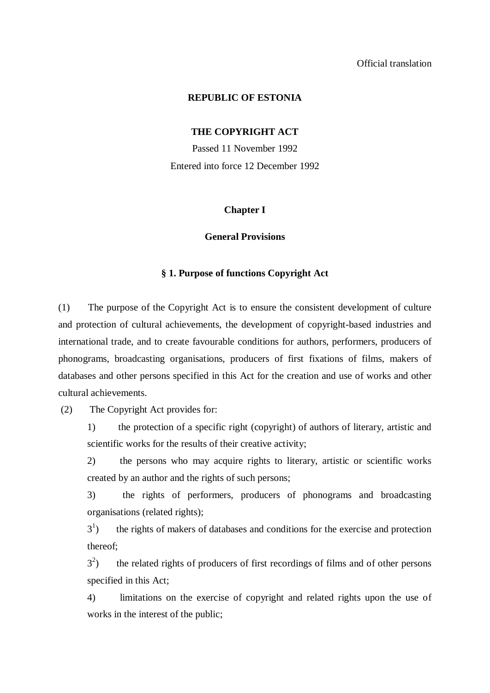## **REPUBLIC OF ESTONIA**

### **THE COPYRIGHT ACT**

Passed 11 November 1992 Entered into force 12 December 1992

### **Chapter I**

### **General Provisions**

## **§ 1. Purpose of functions Copyright Act**

(1) The purpose of the Copyright Act is to ensure the consistent development of culture and protection of cultural achievements, the development of copyright-based industries and international trade, and to create favourable conditions for authors, performers, producers of phonograms, broadcasting organisations, producers of first fixations of films, makers of databases and other persons specified in this Act for the creation and use of works and other cultural achievements.

(2) The Copyright Act provides for:

1) the protection of a specific right (copyright) of authors of literary, artistic and scientific works for the results of their creative activity;

2) the persons who may acquire rights to literary, artistic or scientific works created by an author and the rights of such persons;

3) the rights of performers, producers of phonograms and broadcasting organisations (related rights);

 $3<sup>1</sup>$ ) the rights of makers of databases and conditions for the exercise and protection thereof;

 $3^2$ ) the related rights of producers of first recordings of films and of other persons specified in this Act;

4) limitations on the exercise of copyright and related rights upon the use of works in the interest of the public;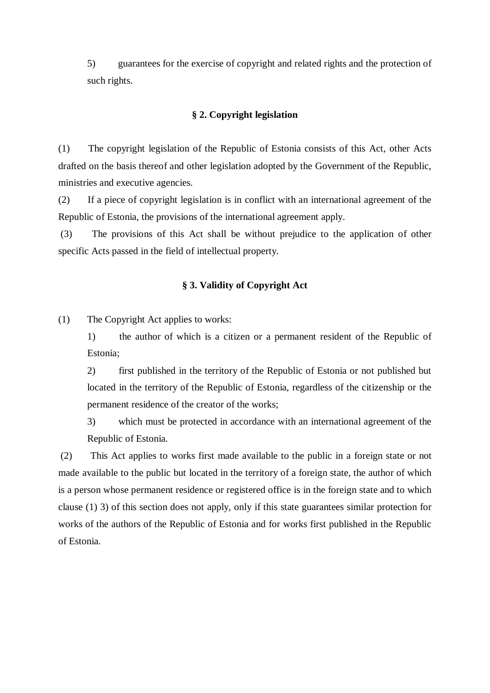5) guarantees for the exercise of copyright and related rights and the protection of such rights.

## **§ 2. Copyright legislation**

(1) The copyright legislation of the Republic of Estonia consists of this Act, other Acts drafted on the basis thereof and other legislation adopted by the Government of the Republic, ministries and executive agencies.

(2) If a piece of copyright legislation is in conflict with an international agreement of the Republic of Estonia, the provisions of the international agreement apply.

(3) The provisions of this Act shall be without prejudice to the application of other specific Acts passed in the field of intellectual property.

## **§ 3. Validity of Copyright Act**

(1) The Copyright Act applies to works:

1) the author of which is a citizen or a permanent resident of the Republic of Estonia;

2) first published in the territory of the Republic of Estonia or not published but located in the territory of the Republic of Estonia, regardless of the citizenship or the permanent residence of the creator of the works;

3) which must be protected in accordance with an international agreement of the Republic of Estonia.

(2) This Act applies to works first made available to the public in a foreign state or not made available to the public but located in the territory of a foreign state, the author of which is a person whose permanent residence or registered office is in the foreign state and to which clause (1) 3) of this section does not apply, only if this state guarantees similar protection for works of the authors of the Republic of Estonia and for works first published in the Republic of Estonia.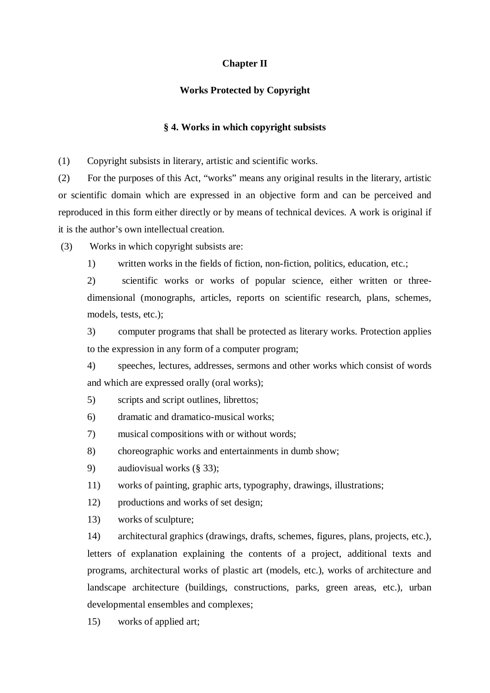## **Chapter II**

## **Works Protected by Copyright**

## **§ 4. Works in which copyright subsists**

(1) Copyright subsists in literary, artistic and scientific works.

(2) For the purposes of this Act, "works" means any original results in the literary, artistic or scientific domain which are expressed in an objective form and can be perceived and reproduced in this form either directly or by means of technical devices. A work is original if it is the author's own intellectual creation.

(3) Works in which copyright subsists are:

1) written works in the fields of fiction, non-fiction, politics, education, etc.;

2) scientific works or works of popular science, either written or threedimensional (monographs, articles, reports on scientific research, plans, schemes, models, tests, etc.);

3) computer programs that shall be protected as literary works. Protection applies to the expression in any form of a computer program;

4) speeches, lectures, addresses, sermons and other works which consist of words and which are expressed orally (oral works);

- 5) scripts and script outlines, librettos;
- 6) dramatic and dramatico-musical works;
- 7) musical compositions with or without words;
- 8) choreographic works and entertainments in dumb show;
- 9) audiovisual works (§ 33);
- 11) works of painting, graphic arts, typography, drawings, illustrations;
- 12) productions and works of set design;
- 13) works of sculpture;

14) architectural graphics (drawings, drafts, schemes, figures, plans, projects, etc.), letters of explanation explaining the contents of a project, additional texts and programs, architectural works of plastic art (models, etc.), works of architecture and landscape architecture (buildings, constructions, parks, green areas, etc.), urban developmental ensembles and complexes;

15) works of applied art;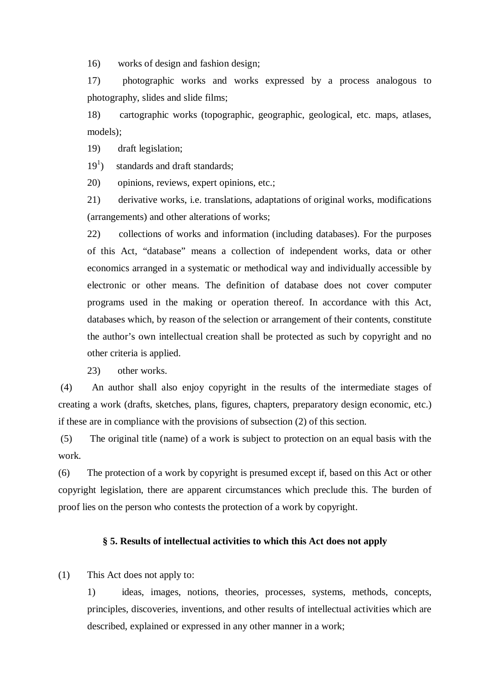16) works of design and fashion design;

17) photographic works and works expressed by a process analogous to photography, slides and slide films;

18) cartographic works (topographic, geographic, geological, etc. maps, atlases, models);

19) draft legislation;

 $19<sup>1</sup>$ ) standards and draft standards;

20) opinions, reviews, expert opinions, etc.;

21) derivative works, i.e. translations, adaptations of original works, modifications (arrangements) and other alterations of works;

22) collections of works and information (including databases). For the purposes of this Act, "database" means a collection of independent works, data or other economics arranged in a systematic or methodical way and individually accessible by electronic or other means. The definition of database does not cover computer programs used in the making or operation thereof. In accordance with this Act, databases which, by reason of the selection or arrangement of their contents, constitute the author's own intellectual creation shall be protected as such by copyright and no other criteria is applied.

23) other works.

(4) An author shall also enjoy copyright in the results of the intermediate stages of creating a work (drafts, sketches, plans, figures, chapters, preparatory design economic, etc.) if these are in compliance with the provisions of subsection (2) of this section.

(5) The original title (name) of a work is subject to protection on an equal basis with the work.

(6) The protection of a work by copyright is presumed except if, based on this Act or other copyright legislation, there are apparent circumstances which preclude this. The burden of proof lies on the person who contests the protection of a work by copyright.

### **§ 5. Results of intellectual activities to which this Act does not apply**

(1) This Act does not apply to:

1) ideas, images, notions, theories, processes, systems, methods, concepts, principles, discoveries, inventions, and other results of intellectual activities which are described, explained or expressed in any other manner in a work;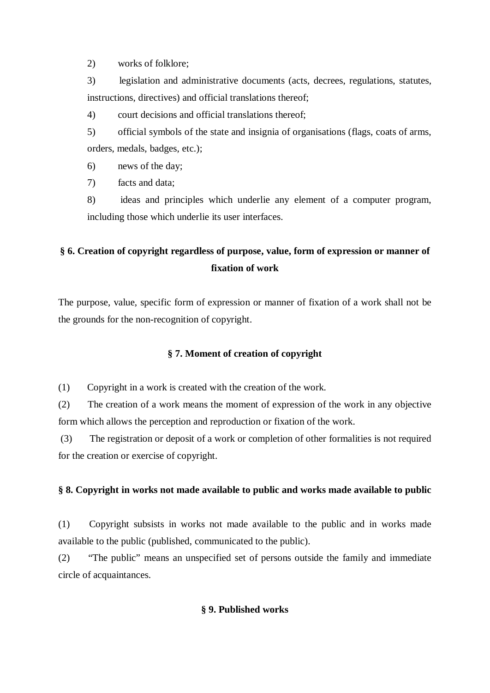2) works of folklore;

3) legislation and administrative documents (acts, decrees, regulations, statutes, instructions, directives) and official translations thereof;

4) court decisions and official translations thereof;

5) official symbols of the state and insignia of organisations (flags, coats of arms, orders, medals, badges, etc.);

6) news of the day;

7) facts and data;

8) ideas and principles which underlie any element of a computer program, including those which underlie its user interfaces.

# **§ 6. Creation of copyright regardless of purpose, value, form of expression or manner of fixation of work**

The purpose, value, specific form of expression or manner of fixation of a work shall not be the grounds for the non-recognition of copyright.

# **§ 7. Moment of creation of copyright**

(1) Copyright in a work is created with the creation of the work.

(2) The creation of a work means the moment of expression of the work in any objective form which allows the perception and reproduction or fixation of the work.

(3) The registration or deposit of a work or completion of other formalities is not required for the creation or exercise of copyright.

# **§ 8. Copyright in works not made available to public and works made available to public**

(1) Copyright subsists in works not made available to the public and in works made available to the public (published, communicated to the public).

(2) "The public" means an unspecified set of persons outside the family and immediate circle of acquaintances.

# **§ 9. Published works**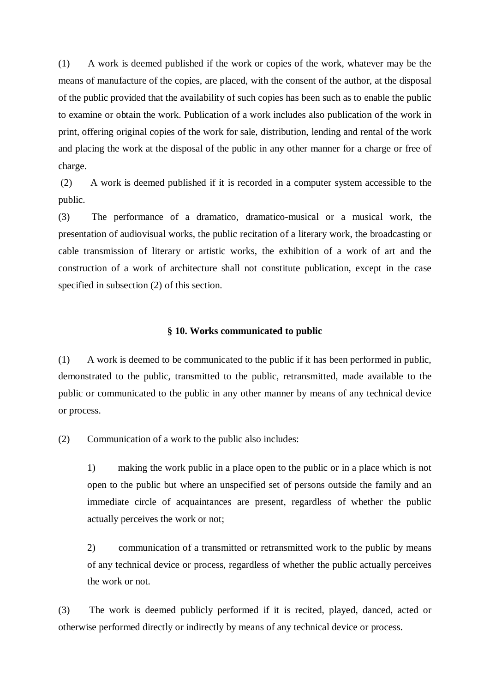(1) A work is deemed published if the work or copies of the work, whatever may be the means of manufacture of the copies, are placed, with the consent of the author, at the disposal of the public provided that the availability of such copies has been such as to enable the public to examine or obtain the work. Publication of a work includes also publication of the work in print, offering original copies of the work for sale, distribution, lending and rental of the work and placing the work at the disposal of the public in any other manner for a charge or free of charge.

(2) A work is deemed published if it is recorded in a computer system accessible to the public.

(3) The performance of a dramatico, dramatico-musical or a musical work, the presentation of audiovisual works, the public recitation of a literary work, the broadcasting or cable transmission of literary or artistic works, the exhibition of a work of art and the construction of a work of architecture shall not constitute publication, except in the case specified in subsection (2) of this section.

### **§ 10. Works communicated to public**

(1) A work is deemed to be communicated to the public if it has been performed in public, demonstrated to the public, transmitted to the public, retransmitted, made available to the public or communicated to the public in any other manner by means of any technical device or process.

(2) Communication of a work to the public also includes:

1) making the work public in a place open to the public or in a place which is not open to the public but where an unspecified set of persons outside the family and an immediate circle of acquaintances are present, regardless of whether the public actually perceives the work or not;

2) communication of a transmitted or retransmitted work to the public by means of any technical device or process, regardless of whether the public actually perceives the work or not.

(3) The work is deemed publicly performed if it is recited, played, danced, acted or otherwise performed directly or indirectly by means of any technical device or process.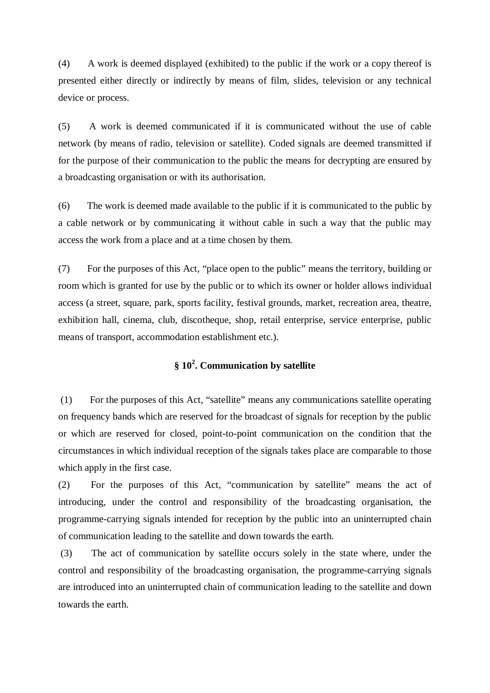(4) A work is deemed displayed (exhibited) to the public if the work or a copy thereof is presented either directly or indirectly by means of film, slides, television or any technical device or process.

(5) A work is deemed communicated if it is communicated without the use of cable network (by means of radio, television or satellite). Coded signals are deemed transmitted if for the purpose of their communication to the public the means for decrypting are ensured by a broadcasting organisation or with its authorisation.

(6) The work is deemed made available to the public if it is communicated to the public by a cable network or by communicating it without cable in such a way that the public may access the work from a place and at a time chosen by them.

(7) For the purposes of this Act, "place open to the public" means the territory, building or room which is granted for use by the public or to which its owner or holder allows individual access (a street, square, park, sports facility, festival grounds, market, recreation area, theatre, exhibition hall, cinema, club, discotheque, shop, retail enterprise, service enterprise, public means of transport, accommodation establishment etc.).

# **§ 10 2 . Communication by satellite**

(1) For the purposes of this Act, "satellite" means any communications satellite operating on frequency bands which are reserved for the broadcast of signals for reception by the public or which are reserved for closed, point-to-point communication on the condition that the circumstances in which individual reception of the signals takes place are comparable to those which apply in the first case.

(2) For the purposes of this Act, "communication by satellite" means the act of introducing, under the control and responsibility of the broadcasting organisation, the programme-carrying signals intended for reception by the public into an uninterrupted chain of communication leading to the satellite and down towards the earth.

(3) The act of communication by satellite occurs solely in the state where, under the control and responsibility of the broadcasting organisation, the programme-carrying signals are introduced into an uninterrupted chain of communication leading to the satellite and down towards the earth.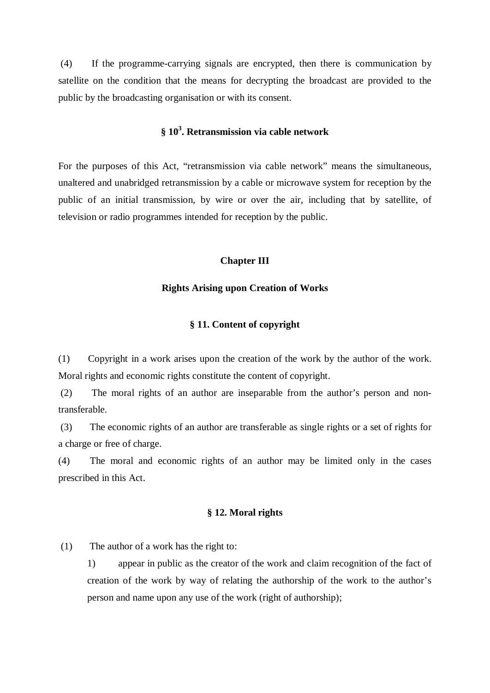(4) If the programme-carrying signals are encrypted, then there is communication by satellite on the condition that the means for decrypting the broadcast are provided to the public by the broadcasting organisation or with its consent.

# **§ 10 3 . Retransmission via cable network**

For the purposes of this Act, "retransmission via cable network" means the simultaneous, unaltered and unabridged retransmission by a cable or microwave system for reception by the public of an initial transmission, by wire or over the air, including that by satellite, of television or radio programmes intended for reception by the public.

#### **Chapter III**

### **Rights Arising upon Creation of Works**

## **§ 11. Content of copyright**

(1) Copyright in a work arises upon the creation of the work by the author of the work. Moral rights and economic rights constitute the content of copyright.

(2) The moral rights of an author are inseparable from the author's person and nontransferable.

(3) The economic rights of an author are transferable as single rights or a set of rights for a charge or free of charge.

(4) The moral and economic rights of an author may be limited only in the cases prescribed in this Act.

## **§ 12. Moral rights**

(1) The author of a work has the right to:

1) appear in public as the creator of the work and claim recognition of the fact of creation of the work by way of relating the authorship of the work to the author's person and name upon any use of the work (right of authorship);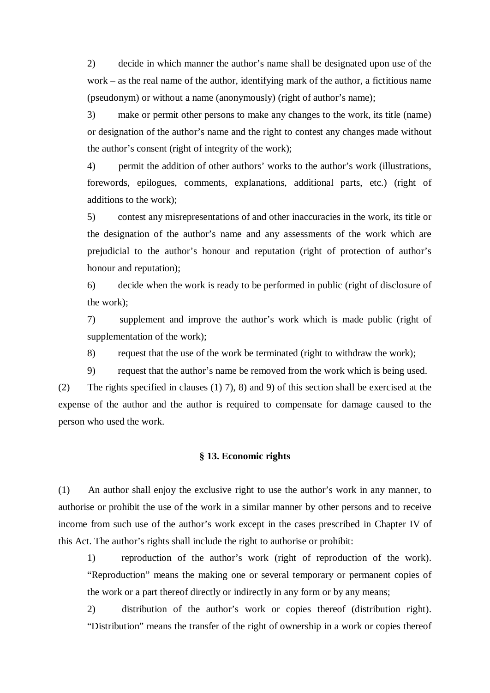2) decide in which manner the author's name shall be designated upon use of the work – as the real name of the author, identifying mark of the author, a fictitious name (pseudonym) or without a name (anonymously) (right of author's name);

3) make or permit other persons to make any changes to the work, its title (name) or designation of the author's name and the right to contest any changes made without the author's consent (right of integrity of the work);

4) permit the addition of other authors' works to the author's work (illustrations, forewords, epilogues, comments, explanations, additional parts, etc.) (right of additions to the work);

5) contest any misrepresentations of and other inaccuracies in the work, its title or the designation of the author's name and any assessments of the work which are prejudicial to the author's honour and reputation (right of protection of author's honour and reputation);

6) decide when the work is ready to be performed in public (right of disclosure of the work);

7) supplement and improve the author's work which is made public (right of supplementation of the work);

8) request that the use of the work be terminated (right to withdraw the work);

9) request that the author's name be removed from the work which is being used.

(2) The rights specified in clauses (1) 7), 8) and 9) of this section shall be exercised at the expense of the author and the author is required to compensate for damage caused to the person who used the work.

### **§ 13. Economic rights**

(1) An author shall enjoy the exclusive right to use the author's work in any manner, to authorise or prohibit the use of the work in a similar manner by other persons and to receive income from such use of the author's work except in the cases prescribed in Chapter IV of this Act. The author's rights shall include the right to authorise or prohibit:

1) reproduction of the author's work (right of reproduction of the work). "Reproduction" means the making one or several temporary or permanent copies of the work or a part thereof directly or indirectly in any form or by any means;

2) distribution of the author's work or copies thereof (distribution right). "Distribution" means the transfer of the right of ownership in a work or copies thereof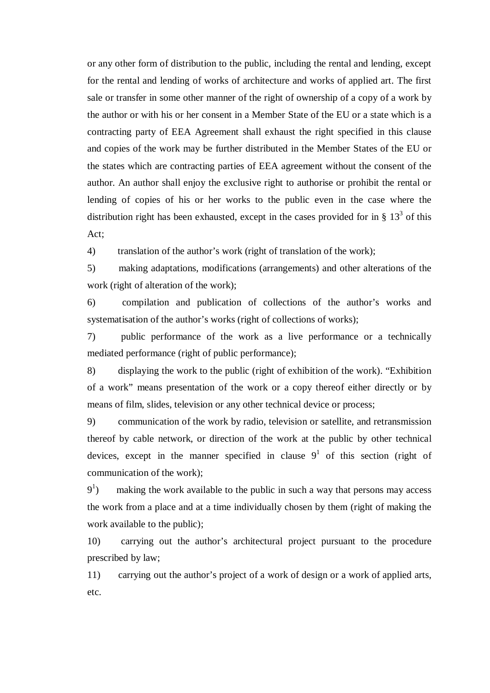or any other form of distribution to the public, including the rental and lending, except for the rental and lending of works of architecture and works of applied art. The first sale or transfer in some other manner of the right of ownership of a copy of a work by the author or with his or her consent in a Member State of the EU or a state which is a contracting party of EEA Agreement shall exhaust the right specified in this clause and copies of the work may be further distributed in the Member States of the EU or the states which are contracting parties of EEA agreement without the consent of the author. An author shall enjoy the exclusive right to authorise or prohibit the rental or lending of copies of his or her works to the public even in the case where the distribution right has been exhausted, except in the cases provided for in §  $13<sup>3</sup>$  of this Act;

4) translation of the author's work (right of translation of the work);

5) making adaptations, modifications (arrangements) and other alterations of the work (right of alteration of the work);

6) compilation and publication of collections of the author's works and systematisation of the author's works (right of collections of works);

7) public performance of the work as a live performance or a technically mediated performance (right of public performance);

8) displaying the work to the public (right of exhibition of the work). "Exhibition of a work" means presentation of the work or a copy thereof either directly or by means of film, slides, television or any other technical device or process;

9) communication of the work by radio, television or satellite, and retransmission thereof by cable network, or direction of the work at the public by other technical devices, except in the manner specified in clause  $9^1$  of this section (right of communication of the work);

 $9<sup>1</sup>$ ) making the work available to the public in such a way that persons may access the work from a place and at a time individually chosen by them (right of making the work available to the public);

10) carrying out the author's architectural project pursuant to the procedure prescribed by law;

11) carrying out the author's project of a work of design or a work of applied arts, etc.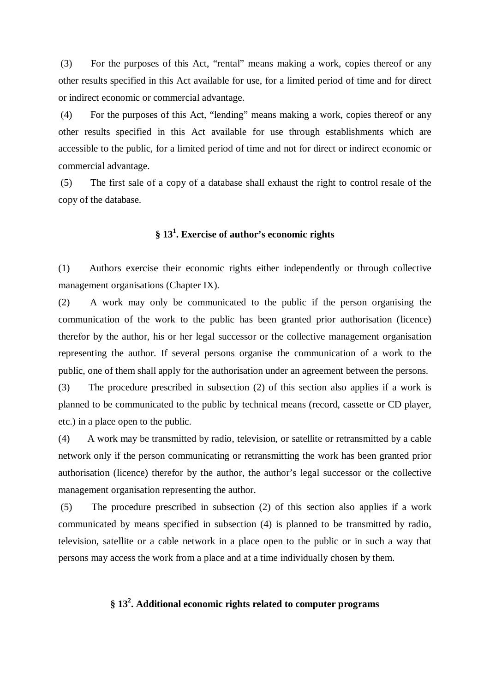(3) For the purposes of this Act, "rental" means making a work, copies thereof or any other results specified in this Act available for use, for a limited period of time and for direct or indirect economic or commercial advantage.

(4) For the purposes of this Act, "lending" means making a work, copies thereof or any other results specified in this Act available for use through establishments which are accessible to the public, for a limited period of time and not for direct or indirect economic or commercial advantage.

(5) The first sale of a copy of a database shall exhaust the right to control resale of the copy of the database.

# **§ 13 1 . Exercise of author's economic rights**

(1) Authors exercise their economic rights either independently or through collective management organisations (Chapter IX).

(2) A work may only be communicated to the public if the person organising the communication of the work to the public has been granted prior authorisation (licence) therefor by the author, his or her legal successor or the collective management organisation representing the author. If several persons organise the communication of a work to the public, one of them shall apply for the authorisation under an agreement between the persons.

(3) The procedure prescribed in subsection (2) of this section also applies if a work is planned to be communicated to the public by technical means (record, cassette or CD player, etc.) in a place open to the public.

(4) A work may be transmitted by radio, television, or satellite or retransmitted by a cable network only if the person communicating or retransmitting the work has been granted prior authorisation (licence) therefor by the author, the author's legal successor or the collective management organisation representing the author.

(5) The procedure prescribed in subsection (2) of this section also applies if a work communicated by means specified in subsection (4) is planned to be transmitted by radio, television, satellite or a cable network in a place open to the public or in such a way that persons may access the work from a place and at a time individually chosen by them.

# **§ 13 2 . Additional economic rights related to computer programs**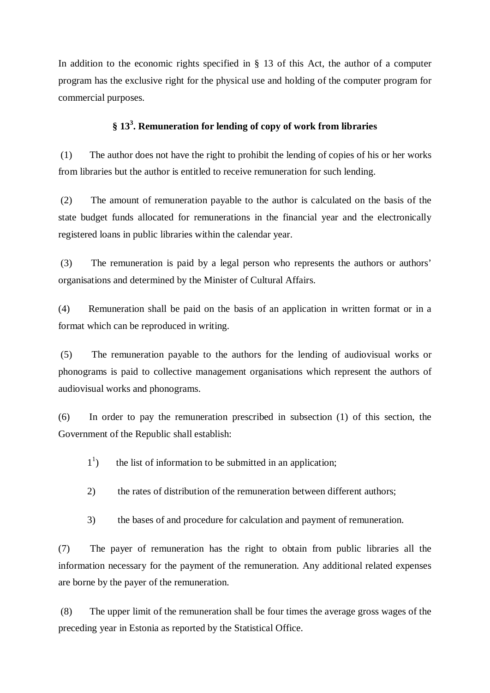In addition to the economic rights specified in  $\S$  13 of this Act, the author of a computer program has the exclusive right for the physical use and holding of the computer program for commercial purposes.

# **§ 13 3 . Remuneration for lending of copy of work from libraries**

(1) The author does not have the right to prohibit the lending of copies of his or her works from libraries but the author is entitled to receive remuneration for such lending.

(2) The amount of remuneration payable to the author is calculated on the basis of the state budget funds allocated for remunerations in the financial year and the electronically registered loans in public libraries within the calendar year.

(3) The remuneration is paid by a legal person who represents the authors or authors' organisations and determined by the Minister of Cultural Affairs.

(4) Remuneration shall be paid on the basis of an application in written format or in a format which can be reproduced in writing.

(5) The remuneration payable to the authors for the lending of audiovisual works or phonograms is paid to collective management organisations which represent the authors of audiovisual works and phonograms.

(6) In order to pay the remuneration prescribed in subsection (1) of this section, the Government of the Republic shall establish:

- $1<sup>1</sup>$ ) the list of information to be submitted in an application;
- 2) the rates of distribution of the remuneration between different authors;
- 3) the bases of and procedure for calculation and payment of remuneration.

(7) The payer of remuneration has the right to obtain from public libraries all the information necessary for the payment of the remuneration. Any additional related expenses are borne by the payer of the remuneration.

(8) The upper limit of the remuneration shall be four times the average gross wages of the preceding year in Estonia as reported by the Statistical Office.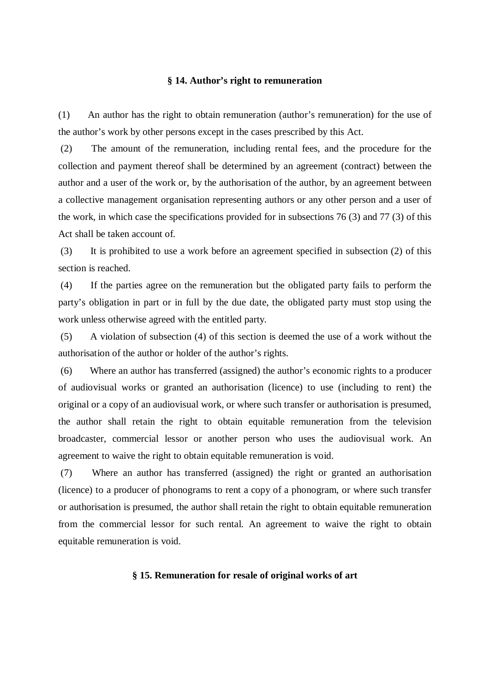### **§ 14. Author's right to remuneration**

(1) An author has the right to obtain remuneration (author's remuneration) for the use of the author's work by other persons except in the cases prescribed by this Act.

(2) The amount of the remuneration, including rental fees, and the procedure for the collection and payment thereof shall be determined by an agreement (contract) between the author and a user of the work or, by the authorisation of the author, by an agreement between a collective management organisation representing authors or any other person and a user of the work, in which case the specifications provided for in subsections 76 (3) and 77 (3) of this Act shall be taken account of.

(3) It is prohibited to use a work before an agreement specified in subsection (2) of this section is reached.

(4) If the parties agree on the remuneration but the obligated party fails to perform the party's obligation in part or in full by the due date, the obligated party must stop using the work unless otherwise agreed with the entitled party.

(5) A violation of subsection (4) of this section is deemed the use of a work without the authorisation of the author or holder of the author's rights.

(6) Where an author has transferred (assigned) the author's economic rights to a producer of audiovisual works or granted an authorisation (licence) to use (including to rent) the original or a copy of an audiovisual work, or where such transfer or authorisation is presumed, the author shall retain the right to obtain equitable remuneration from the television broadcaster, commercial lessor or another person who uses the audiovisual work. An agreement to waive the right to obtain equitable remuneration is void.

(7) Where an author has transferred (assigned) the right or granted an authorisation (licence) to a producer of phonograms to rent a copy of a phonogram, or where such transfer or authorisation is presumed, the author shall retain the right to obtain equitable remuneration from the commercial lessor for such rental. An agreement to waive the right to obtain equitable remuneration is void.

### **§ 15. Remuneration for resale of original works of art**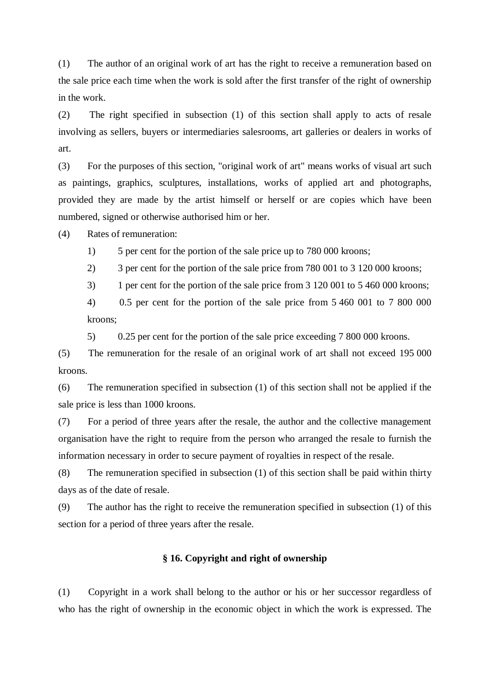(1) The author of an original work of art has the right to receive a remuneration based on the sale price each time when the work is sold after the first transfer of the right of ownership in the work.

(2) The right specified in subsection (1) of this section shall apply to acts of resale involving as sellers, buyers or intermediaries salesrooms, art galleries or dealers in works of art.

(3) For the purposes of this section, "original work of art" means works of visual art such as paintings, graphics, sculptures, installations, works of applied art and photographs, provided they are made by the artist himself or herself or are copies which have been numbered, signed or otherwise authorised him or her.

(4) Rates of remuneration:

1) 5 per cent for the portion of the sale price up to 780 000 kroons;

2) 3 per cent for the portion of the sale price from 780 001 to 3 120 000 kroons;

3) 1 per cent for the portion of the sale price from 3 120 001 to 5 460 000 kroons;

4) 0.5 per cent for the portion of the sale price from 5 460 001 to 7 800 000 kroons;

5) 0.25 per cent for the portion of the sale price exceeding 7 800 000 kroons.

(5) The remuneration for the resale of an original work of art shall not exceed 195 000 kroons.

(6) The remuneration specified in subsection (1) of this section shall not be applied if the sale price is less than 1000 kroons.

(7) For a period of three years after the resale, the author and the collective management organisation have the right to require from the person who arranged the resale to furnish the information necessary in order to secure payment of royalties in respect of the resale.

(8) The remuneration specified in subsection (1) of this section shall be paid within thirty days as of the date of resale.

(9) The author has the right to receive the remuneration specified in subsection (1) of this section for a period of three years after the resale.

### **§ 16. Copyright and right of ownership**

(1) Copyright in a work shall belong to the author or his or her successor regardless of who has the right of ownership in the economic object in which the work is expressed. The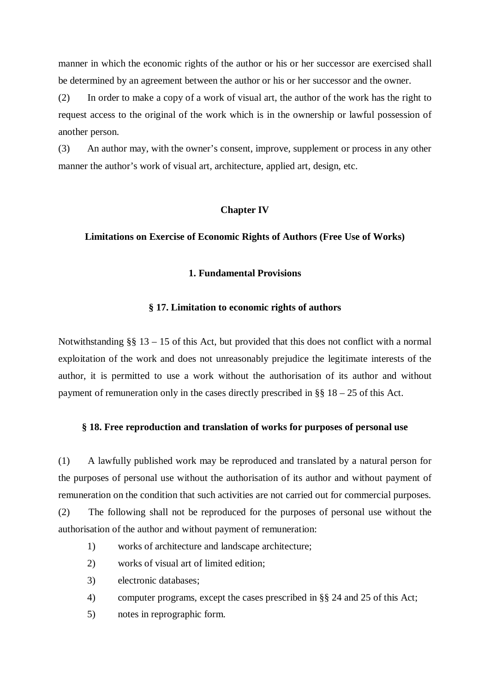manner in which the economic rights of the author or his or her successor are exercised shall be determined by an agreement between the author or his or her successor and the owner.

(2) In order to make a copy of a work of visual art, the author of the work has the right to request access to the original of the work which is in the ownership or lawful possession of another person.

(3) An author may, with the owner's consent, improve, supplement or process in any other manner the author's work of visual art, architecture, applied art, design, etc.

### **Chapter IV**

### **Limitations on Exercise of Economic Rights of Authors (Free Use of Works)**

## **1. Fundamental Provisions**

### **§ 17. Limitation to economic rights of authors**

Notwithstanding  $\S$ § 13 – 15 of this Act, but provided that this does not conflict with a normal exploitation of the work and does not unreasonably prejudice the legitimate interests of the author, it is permitted to use a work without the authorisation of its author and without payment of remuneration only in the cases directly prescribed in  $\S$ § 18 – 25 of this Act.

### **§ 18. Free reproduction and translation of works for purposes of personal use**

(1) A lawfully published work may be reproduced and translated by a natural person for the purposes of personal use without the authorisation of its author and without payment of remuneration on the condition that such activities are not carried out for commercial purposes.

(2) The following shall not be reproduced for the purposes of personal use without the authorisation of the author and without payment of remuneration:

- 1) works of architecture and landscape architecture;
- 2) works of visual art of limited edition;
- 3) electronic databases;
- 4) computer programs, except the cases prescribed in §§ 24 and 25 of this Act;
- 5) notes in reprographic form.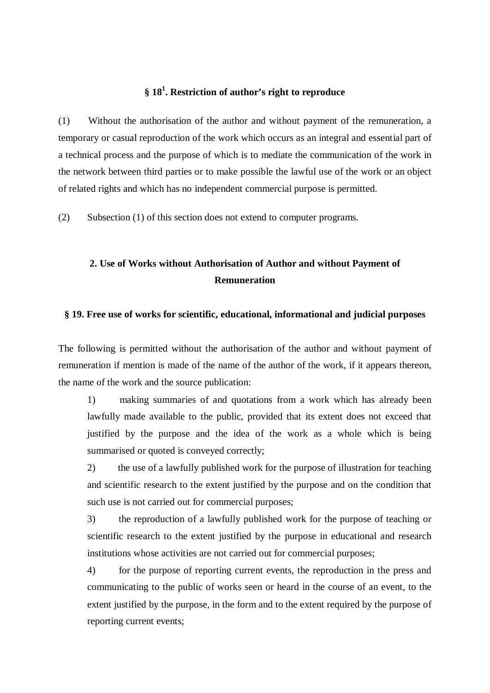# **§ 18 1 . Restriction of author's right to reproduce**

(1) Without the authorisation of the author and without payment of the remuneration, a temporary or casual reproduction of the work which occurs as an integral and essential part of a technical process and the purpose of which is to mediate the communication of the work in the network between third parties or to make possible the lawful use of the work or an object of related rights and which has no independent commercial purpose is permitted.

(2) Subsection (1) of this section does not extend to computer programs.

# **2. Use of Works without Authorisation of Author and without Payment of Remuneration**

### **§ 19. Free use of works for scientific, educational, informational and judicial purposes**

The following is permitted without the authorisation of the author and without payment of remuneration if mention is made of the name of the author of the work, if it appears thereon, the name of the work and the source publication:

1) making summaries of and quotations from a work which has already been lawfully made available to the public, provided that its extent does not exceed that justified by the purpose and the idea of the work as a whole which is being summarised or quoted is conveyed correctly;

2) the use of a lawfully published work for the purpose of illustration for teaching and scientific research to the extent justified by the purpose and on the condition that such use is not carried out for commercial purposes;

3) the reproduction of a lawfully published work for the purpose of teaching or scientific research to the extent justified by the purpose in educational and research institutions whose activities are not carried out for commercial purposes;

4) for the purpose of reporting current events, the reproduction in the press and communicating to the public of works seen or heard in the course of an event, to the extent justified by the purpose, in the form and to the extent required by the purpose of reporting current events;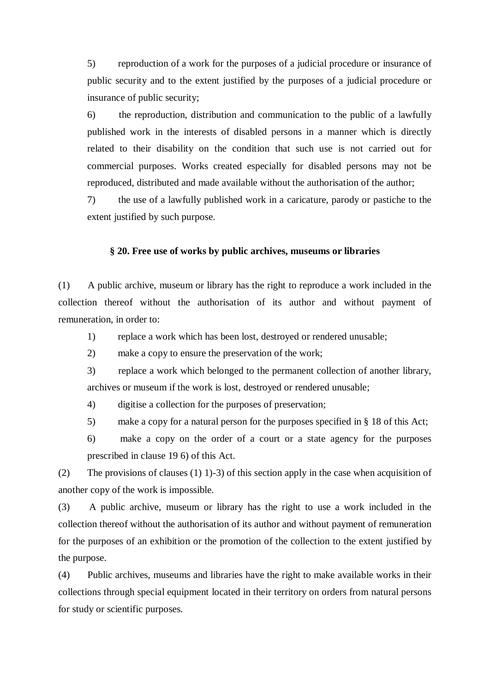5) reproduction of a work for the purposes of a judicial procedure or insurance of public security and to the extent justified by the purposes of a judicial procedure or insurance of public security;

6) the reproduction, distribution and communication to the public of a lawfully published work in the interests of disabled persons in a manner which is directly related to their disability on the condition that such use is not carried out for commercial purposes. Works created especially for disabled persons may not be reproduced, distributed and made available without the authorisation of the author;

7) the use of a lawfully published work in a caricature, parody or pastiche to the extent justified by such purpose.

### **§ 20. Free use of works by public archives, museums or libraries**

(1) A public archive, museum or library has the right to reproduce a work included in the collection thereof without the authorisation of its author and without payment of remuneration, in order to:

- 1) replace a work which has been lost, destroyed or rendered unusable;
- 2) make a copy to ensure the preservation of the work;
- 3) replace a work which belonged to the permanent collection of another library, archives or museum if the work is lost, destroyed or rendered unusable;
- 4) digitise a collection for the purposes of preservation;
- 5) make a copy for a natural person for the purposes specified in § 18 of this Act;

6) make a copy on the order of a court or a state agency for the purposes prescribed in clause 19 6) of this Act.

(2) The provisions of clauses (1) 1)-3) of this section apply in the case when acquisition of another copy of the work is impossible.

(3) A public archive, museum or library has the right to use a work included in the collection thereof without the authorisation of its author and without payment of remuneration for the purposes of an exhibition or the promotion of the collection to the extent justified by the purpose.

(4) Public archives, museums and libraries have the right to make available works in their collections through special equipment located in their territory on orders from natural persons for study or scientific purposes.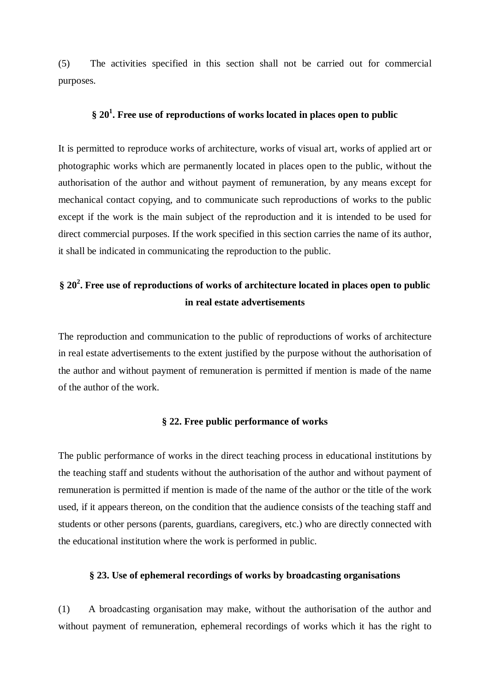(5) The activities specified in this section shall not be carried out for commercial purposes.

# **§ 20 1 . Free use of reproductions of works located in places open to public**

It is permitted to reproduce works of architecture, works of visual art, works of applied art or photographic works which are permanently located in places open to the public, without the authorisation of the author and without payment of remuneration, by any means except for mechanical contact copying, and to communicate such reproductions of works to the public except if the work is the main subject of the reproduction and it is intended to be used for direct commercial purposes. If the work specified in this section carries the name of its author, it shall be indicated in communicating the reproduction to the public.

# **§ 20 2 . Free use of reproductions of works of architecture located in places open to public in real estate advertisements**

The reproduction and communication to the public of reproductions of works of architecture in real estate advertisements to the extent justified by the purpose without the authorisation of the author and without payment of remuneration is permitted if mention is made of the name of the author of the work.

### **§ 22. Free public performance of works**

The public performance of works in the direct teaching process in educational institutions by the teaching staff and students without the authorisation of the author and without payment of remuneration is permitted if mention is made of the name of the author or the title of the work used, if it appears thereon, on the condition that the audience consists of the teaching staff and students or other persons (parents, guardians, caregivers, etc.) who are directly connected with the educational institution where the work is performed in public.

### **§ 23. Use of ephemeral recordings of works by broadcasting organisations**

(1) A broadcasting organisation may make, without the authorisation of the author and without payment of remuneration, ephemeral recordings of works which it has the right to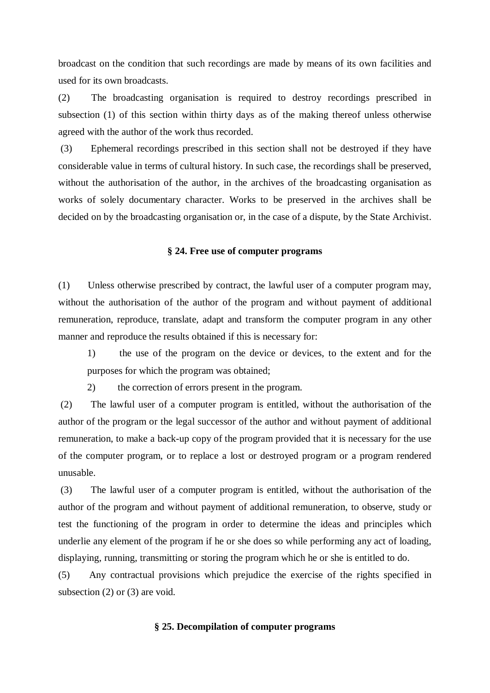broadcast on the condition that such recordings are made by means of its own facilities and used for its own broadcasts.

(2) The broadcasting organisation is required to destroy recordings prescribed in subsection (1) of this section within thirty days as of the making thereof unless otherwise agreed with the author of the work thus recorded.

(3) Ephemeral recordings prescribed in this section shall not be destroyed if they have considerable value in terms of cultural history. In such case, the recordings shall be preserved, without the authorisation of the author, in the archives of the broadcasting organisation as works of solely documentary character. Works to be preserved in the archives shall be decided on by the broadcasting organisation or, in the case of a dispute, by the State Archivist.

### **§ 24. Free use of computer programs**

(1) Unless otherwise prescribed by contract, the lawful user of a computer program may, without the authorisation of the author of the program and without payment of additional remuneration, reproduce, translate, adapt and transform the computer program in any other manner and reproduce the results obtained if this is necessary for:

1) the use of the program on the device or devices, to the extent and for the purposes for which the program was obtained;

2) the correction of errors present in the program.

(2) The lawful user of a computer program is entitled, without the authorisation of the author of the program or the legal successor of the author and without payment of additional remuneration, to make a back-up copy of the program provided that it is necessary for the use of the computer program, or to replace a lost or destroyed program or a program rendered unusable.

(3) The lawful user of a computer program is entitled, without the authorisation of the author of the program and without payment of additional remuneration, to observe, study or test the functioning of the program in order to determine the ideas and principles which underlie any element of the program if he or she does so while performing any act of loading, displaying, running, transmitting or storing the program which he or she is entitled to do.

(5) Any contractual provisions which prejudice the exercise of the rights specified in subsection (2) or (3) are void.

#### **§ 25. Decompilation of computer programs**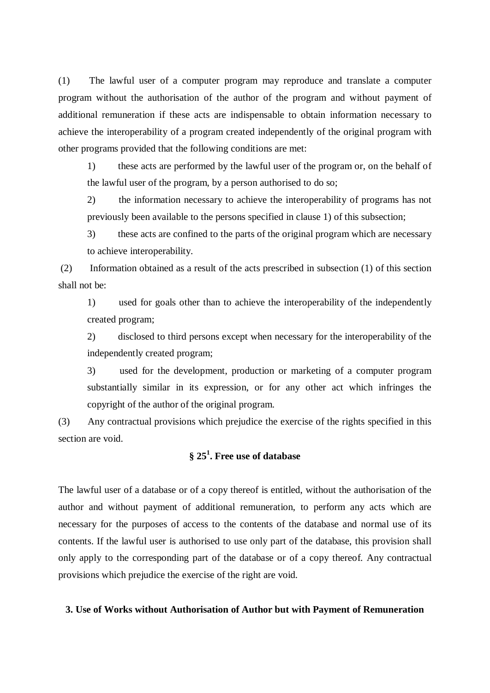(1) The lawful user of a computer program may reproduce and translate a computer program without the authorisation of the author of the program and without payment of additional remuneration if these acts are indispensable to obtain information necessary to achieve the interoperability of a program created independently of the original program with other programs provided that the following conditions are met:

1) these acts are performed by the lawful user of the program or, on the behalf of the lawful user of the program, by a person authorised to do so;

2) the information necessary to achieve the interoperability of programs has not previously been available to the persons specified in clause 1) of this subsection;

3) these acts are confined to the parts of the original program which are necessary to achieve interoperability.

(2) Information obtained as a result of the acts prescribed in subsection (1) of this section shall not be:

1) used for goals other than to achieve the interoperability of the independently created program;

2) disclosed to third persons except when necessary for the interoperability of the independently created program;

3) used for the development, production or marketing of a computer program substantially similar in its expression, or for any other act which infringes the copyright of the author of the original program.

(3) Any contractual provisions which prejudice the exercise of the rights specified in this section are void.

# **§ 25 1 . Free use of database**

The lawful user of a database or of a copy thereof is entitled, without the authorisation of the author and without payment of additional remuneration, to perform any acts which are necessary for the purposes of access to the contents of the database and normal use of its contents. If the lawful user is authorised to use only part of the database, this provision shall only apply to the corresponding part of the database or of a copy thereof. Any contractual provisions which prejudice the exercise of the right are void.

### **3. Use of Works without Authorisation of Author but with Payment of Remuneration**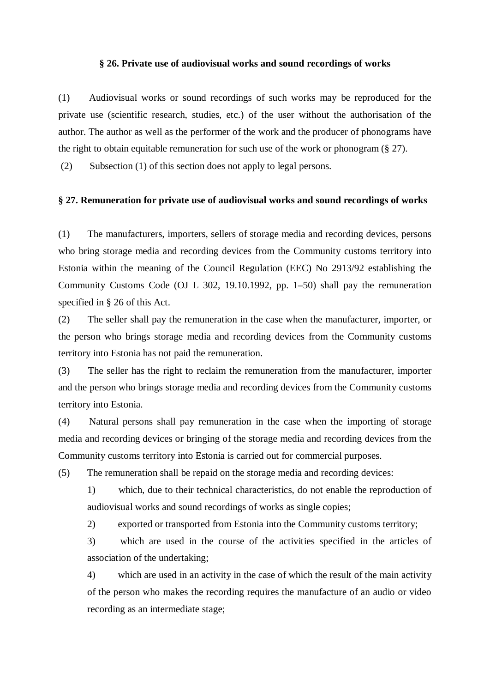### **§ 26. Private use of audiovisual works and sound recordings of works**

(1) Audiovisual works or sound recordings of such works may be reproduced for the private use (scientific research, studies, etc.) of the user without the authorisation of the author. The author as well as the performer of the work and the producer of phonograms have the right to obtain equitable remuneration for such use of the work or phonogram (§ 27).

(2) Subsection (1) of this section does not apply to legal persons.

### **§ 27. Remuneration for private use of audiovisual works and sound recordings of works**

(1) The manufacturers, importers, sellers of storage media and recording devices, persons who bring storage media and recording devices from the Community customs territory into Estonia within the meaning of the Council Regulation (EEC) No 2913/92 establishing the Community Customs Code (OJ L 302, 19.10.1992, pp. 1–50) shall pay the remuneration specified in § 26 of this Act.

(2) The seller shall pay the remuneration in the case when the manufacturer, importer, or the person who brings storage media and recording devices from the Community customs territory into Estonia has not paid the remuneration.

(3) The seller has the right to reclaim the remuneration from the manufacturer, importer and the person who brings storage media and recording devices from the Community customs territory into Estonia.

(4) Natural persons shall pay remuneration in the case when the importing of storage media and recording devices or bringing of the storage media and recording devices from the Community customs territory into Estonia is carried out for commercial purposes.

(5) The remuneration shall be repaid on the storage media and recording devices:

- 1) which, due to their technical characteristics, do not enable the reproduction of audiovisual works and sound recordings of works as single copies;
- 2) exported or transported from Estonia into the Community customs territory;

3) which are used in the course of the activities specified in the articles of association of the undertaking;

4) which are used in an activity in the case of which the result of the main activity of the person who makes the recording requires the manufacture of an audio or video recording as an intermediate stage;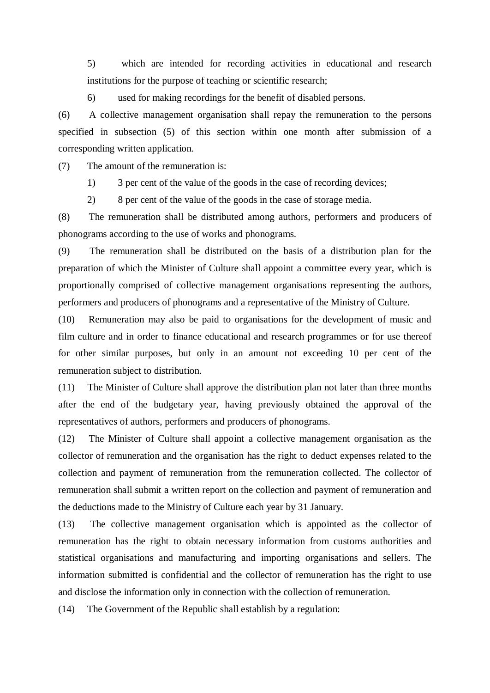5) which are intended for recording activities in educational and research institutions for the purpose of teaching or scientific research;

6) used for making recordings for the benefit of disabled persons.

(6) A collective management organisation shall repay the remuneration to the persons specified in subsection (5) of this section within one month after submission of a corresponding written application.

(7) The amount of the remuneration is:

1) 3 per cent of the value of the goods in the case of recording devices;

2) 8 per cent of the value of the goods in the case of storage media.

(8) The remuneration shall be distributed among authors, performers and producers of phonograms according to the use of works and phonograms.

(9) The remuneration shall be distributed on the basis of a distribution plan for the preparation of which the Minister of Culture shall appoint a committee every year, which is proportionally comprised of collective management organisations representing the authors, performers and producers of phonograms and a representative of the Ministry of Culture.

(10) Remuneration may also be paid to organisations for the development of music and film culture and in order to finance educational and research programmes or for use thereof for other similar purposes, but only in an amount not exceeding 10 per cent of the remuneration subject to distribution.

(11) The Minister of Culture shall approve the distribution plan not later than three months after the end of the budgetary year, having previously obtained the approval of the representatives of authors, performers and producers of phonograms.

(12) The Minister of Culture shall appoint a collective management organisation as the collector of remuneration and the organisation has the right to deduct expenses related to the collection and payment of remuneration from the remuneration collected. The collector of remuneration shall submit a written report on the collection and payment of remuneration and the deductions made to the Ministry of Culture each year by 31 January.

(13) The collective management organisation which is appointed as the collector of remuneration has the right to obtain necessary information from customs authorities and statistical organisations and manufacturing and importing organisations and sellers. The information submitted is confidential and the collector of remuneration has the right to use and disclose the information only in connection with the collection of remuneration.

(14) The Government of the Republic shall establish by a regulation: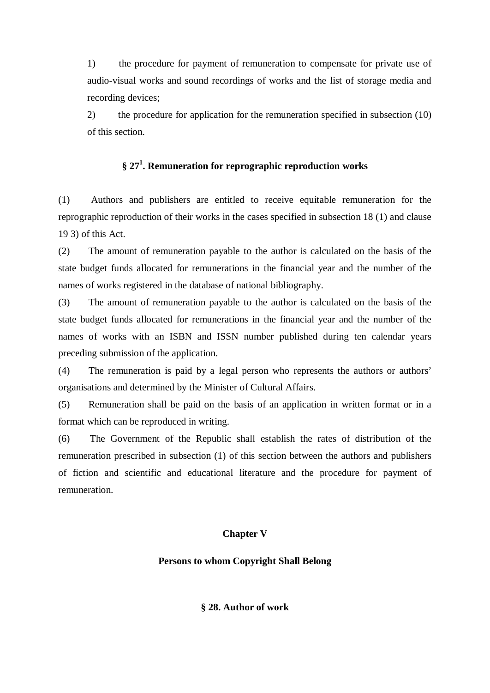1) the procedure for payment of remuneration to compensate for private use of audio-visual works and sound recordings of works and the list of storage media and recording devices;

2) the procedure for application for the remuneration specified in subsection (10) of this section.

# **§ 27 1 . Remuneration for reprographic reproduction works**

(1) Authors and publishers are entitled to receive equitable remuneration for the reprographic reproduction of their works in the cases specified in subsection 18 (1) and clause 19 3) of this Act.

(2) The amount of remuneration payable to the author is calculated on the basis of the state budget funds allocated for remunerations in the financial year and the number of the names of works registered in the database of national bibliography.

(3) The amount of remuneration payable to the author is calculated on the basis of the state budget funds allocated for remunerations in the financial year and the number of the names of works with an ISBN and ISSN number published during ten calendar years preceding submission of the application.

(4) The remuneration is paid by a legal person who represents the authors or authors' organisations and determined by the Minister of Cultural Affairs.

(5) Remuneration shall be paid on the basis of an application in written format or in a format which can be reproduced in writing.

(6) The Government of the Republic shall establish the rates of distribution of the remuneration prescribed in subsection (1) of this section between the authors and publishers of fiction and scientific and educational literature and the procedure for payment of remuneration.

## **Chapter V**

## **Persons to whom Copyright Shall Belong**

**§ 28. Author of work**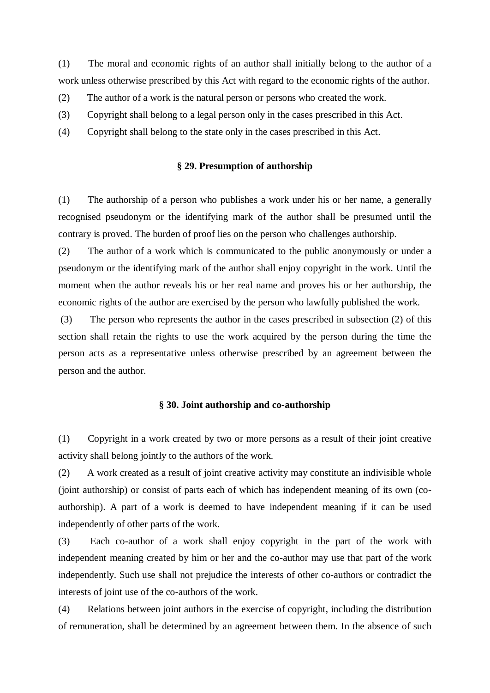(1) The moral and economic rights of an author shall initially belong to the author of a work unless otherwise prescribed by this Act with regard to the economic rights of the author.

- (2) The author of a work is the natural person or persons who created the work.
- (3) Copyright shall belong to a legal person only in the cases prescribed in this Act.
- (4) Copyright shall belong to the state only in the cases prescribed in this Act.

### **§ 29. Presumption of authorship**

(1) The authorship of a person who publishes a work under his or her name, a generally recognised pseudonym or the identifying mark of the author shall be presumed until the contrary is proved. The burden of proof lies on the person who challenges authorship.

(2) The author of a work which is communicated to the public anonymously or under a pseudonym or the identifying mark of the author shall enjoy copyright in the work. Until the moment when the author reveals his or her real name and proves his or her authorship, the economic rights of the author are exercised by the person who lawfully published the work.

(3) The person who represents the author in the cases prescribed in subsection (2) of this section shall retain the rights to use the work acquired by the person during the time the person acts as a representative unless otherwise prescribed by an agreement between the person and the author.

## **§ 30. Joint authorship and co-authorship**

(1) Copyright in a work created by two or more persons as a result of their joint creative activity shall belong jointly to the authors of the work.

(2) A work created as a result of joint creative activity may constitute an indivisible whole (joint authorship) or consist of parts each of which has independent meaning of its own (coauthorship). A part of a work is deemed to have independent meaning if it can be used independently of other parts of the work.

(3) Each co-author of a work shall enjoy copyright in the part of the work with independent meaning created by him or her and the co-author may use that part of the work independently. Such use shall not prejudice the interests of other co-authors or contradict the interests of joint use of the co-authors of the work.

(4) Relations between joint authors in the exercise of copyright, including the distribution of remuneration, shall be determined by an agreement between them. In the absence of such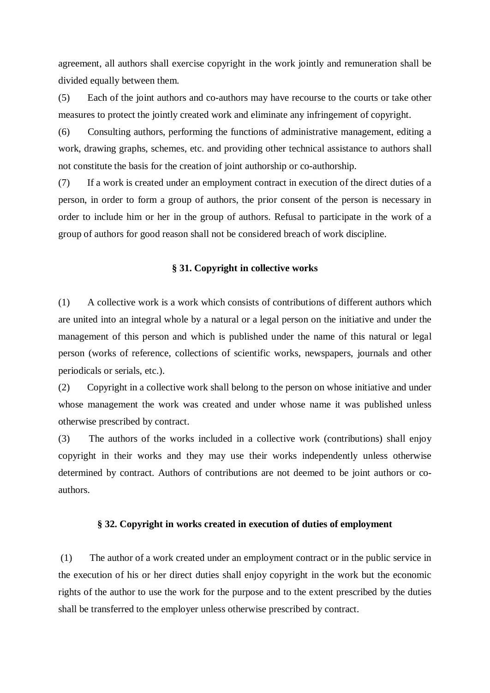agreement, all authors shall exercise copyright in the work jointly and remuneration shall be divided equally between them.

(5) Each of the joint authors and co-authors may have recourse to the courts or take other measures to protect the jointly created work and eliminate any infringement of copyright.

(6) Consulting authors, performing the functions of administrative management, editing a work, drawing graphs, schemes, etc. and providing other technical assistance to authors shall not constitute the basis for the creation of joint authorship or co-authorship.

(7) If a work is created under an employment contract in execution of the direct duties of a person, in order to form a group of authors, the prior consent of the person is necessary in order to include him or her in the group of authors. Refusal to participate in the work of a group of authors for good reason shall not be considered breach of work discipline.

### **§ 31. Copyright in collective works**

(1) A collective work is a work which consists of contributions of different authors which are united into an integral whole by a natural or a legal person on the initiative and under the management of this person and which is published under the name of this natural or legal person (works of reference, collections of scientific works, newspapers, journals and other periodicals or serials, etc.).

(2) Copyright in a collective work shall belong to the person on whose initiative and under whose management the work was created and under whose name it was published unless otherwise prescribed by contract.

(3) The authors of the works included in a collective work (contributions) shall enjoy copyright in their works and they may use their works independently unless otherwise determined by contract. Authors of contributions are not deemed to be joint authors or coauthors.

### **§ 32. Copyright in works created in execution of duties of employment**

(1) The author of a work created under an employment contract or in the public service in the execution of his or her direct duties shall enjoy copyright in the work but the economic rights of the author to use the work for the purpose and to the extent prescribed by the duties shall be transferred to the employer unless otherwise prescribed by contract.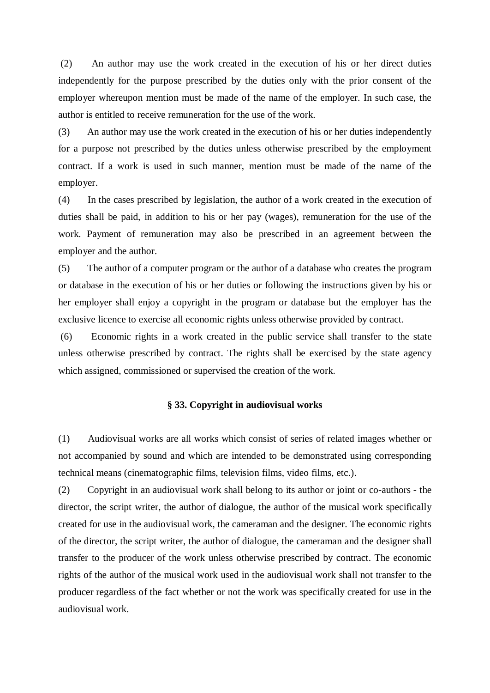(2) An author may use the work created in the execution of his or her direct duties independently for the purpose prescribed by the duties only with the prior consent of the employer whereupon mention must be made of the name of the employer. In such case, the author is entitled to receive remuneration for the use of the work.

(3) An author may use the work created in the execution of his or her duties independently for a purpose not prescribed by the duties unless otherwise prescribed by the employment contract. If a work is used in such manner, mention must be made of the name of the employer.

(4) In the cases prescribed by legislation, the author of a work created in the execution of duties shall be paid, in addition to his or her pay (wages), remuneration for the use of the work. Payment of remuneration may also be prescribed in an agreement between the employer and the author.

(5) The author of a computer program or the author of a database who creates the program or database in the execution of his or her duties or following the instructions given by his or her employer shall enjoy a copyright in the program or database but the employer has the exclusive licence to exercise all economic rights unless otherwise provided by contract.

(6) Economic rights in a work created in the public service shall transfer to the state unless otherwise prescribed by contract. The rights shall be exercised by the state agency which assigned, commissioned or supervised the creation of the work.

## **§ 33. Copyright in audiovisual works**

(1) Audiovisual works are all works which consist of series of related images whether or not accompanied by sound and which are intended to be demonstrated using corresponding technical means (cinematographic films, television films, video films, etc.).

(2) Copyright in an audiovisual work shall belong to its author or joint or co-authors - the director, the script writer, the author of dialogue, the author of the musical work specifically created for use in the audiovisual work, the cameraman and the designer. The economic rights of the director, the script writer, the author of dialogue, the cameraman and the designer shall transfer to the producer of the work unless otherwise prescribed by contract. The economic rights of the author of the musical work used in the audiovisual work shall not transfer to the producer regardless of the fact whether or not the work was specifically created for use in the audiovisual work.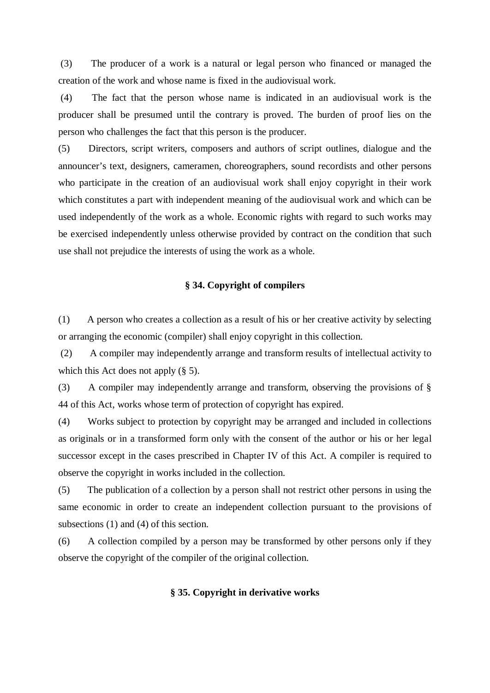(3) The producer of a work is a natural or legal person who financed or managed the creation of the work and whose name is fixed in the audiovisual work.

(4) The fact that the person whose name is indicated in an audiovisual work is the producer shall be presumed until the contrary is proved. The burden of proof lies on the person who challenges the fact that this person is the producer.

(5) Directors, script writers, composers and authors of script outlines, dialogue and the announcer's text, designers, cameramen, choreographers, sound recordists and other persons who participate in the creation of an audiovisual work shall enjoy copyright in their work which constitutes a part with independent meaning of the audiovisual work and which can be used independently of the work as a whole. Economic rights with regard to such works may be exercised independently unless otherwise provided by contract on the condition that such use shall not prejudice the interests of using the work as a whole.

## **§ 34. Copyright of compilers**

(1) A person who creates a collection as a result of his or her creative activity by selecting or arranging the economic (compiler) shall enjoy copyright in this collection.

(2) A compiler may independently arrange and transform results of intellectual activity to which this Act does not apply (§ 5).

(3) A compiler may independently arrange and transform, observing the provisions of § 44 of this Act, works whose term of protection of copyright has expired.

(4) Works subject to protection by copyright may be arranged and included in collections as originals or in a transformed form only with the consent of the author or his or her legal successor except in the cases prescribed in Chapter IV of this Act. A compiler is required to observe the copyright in works included in the collection.

(5) The publication of a collection by a person shall not restrict other persons in using the same economic in order to create an independent collection pursuant to the provisions of subsections (1) and (4) of this section.

(6) A collection compiled by a person may be transformed by other persons only if they observe the copyright of the compiler of the original collection.

### **§ 35. Copyright in derivative works**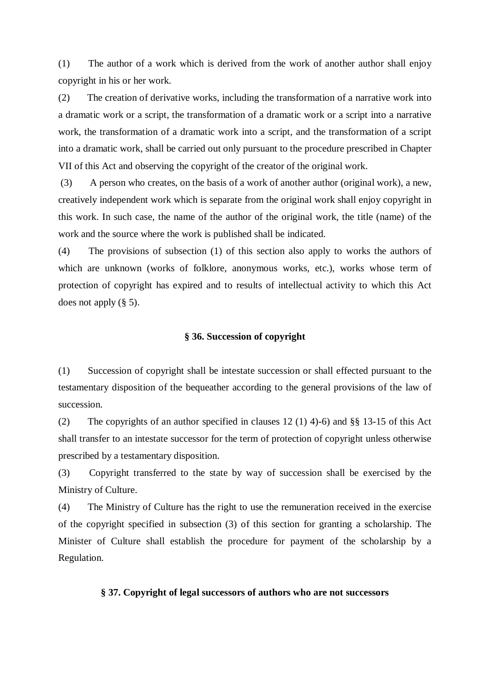(1) The author of a work which is derived from the work of another author shall enjoy copyright in his or her work.

(2) The creation of derivative works, including the transformation of a narrative work into a dramatic work or a script, the transformation of a dramatic work or a script into a narrative work, the transformation of a dramatic work into a script, and the transformation of a script into a dramatic work, shall be carried out only pursuant to the procedure prescribed in Chapter VII of this Act and observing the copyright of the creator of the original work.

(3) A person who creates, on the basis of a work of another author (original work), a new, creatively independent work which is separate from the original work shall enjoy copyright in this work. In such case, the name of the author of the original work, the title (name) of the work and the source where the work is published shall be indicated.

(4) The provisions of subsection (1) of this section also apply to works the authors of which are unknown (works of folklore, anonymous works, etc.), works whose term of protection of copyright has expired and to results of intellectual activity to which this Act does not apply  $(\S 5)$ .

### **§ 36. Succession of copyright**

(1) Succession of copyright shall be intestate succession or shall effected pursuant to the testamentary disposition of the bequeather according to the general provisions of the law of succession.

(2) The copyrights of an author specified in clauses 12 (1) 4)-6) and §§ 13-15 of this Act shall transfer to an intestate successor for the term of protection of copyright unless otherwise prescribed by a testamentary disposition.

(3) Copyright transferred to the state by way of succession shall be exercised by the Ministry of Culture.

(4) The Ministry of Culture has the right to use the remuneration received in the exercise of the copyright specified in subsection (3) of this section for granting a scholarship. The Minister of Culture shall establish the procedure for payment of the scholarship by a Regulation.

### **§ 37. Copyright of legal successors of authors who are not successors**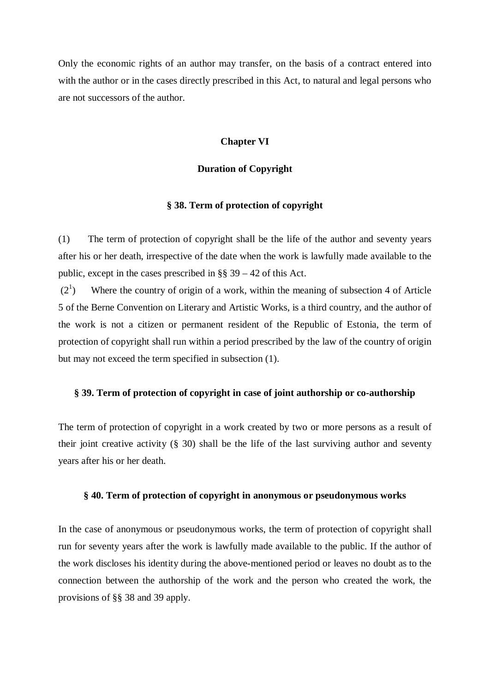Only the economic rights of an author may transfer, on the basis of a contract entered into with the author or in the cases directly prescribed in this Act, to natural and legal persons who are not successors of the author.

### **Chapter VI**

### **Duration of Copyright**

### **§ 38. Term of protection of copyright**

(1) The term of protection of copyright shall be the life of the author and seventy years after his or her death, irrespective of the date when the work is lawfully made available to the public, except in the cases prescribed in §§ 39 – 42 of this Act.

 $(2^1)$ ) Where the country of origin of a work, within the meaning of subsection 4 of Article 5 of the Berne Convention on Literary and Artistic Works, is a third country, and the author of the work is not a citizen or permanent resident of the Republic of Estonia, the term of protection of copyright shall run within a period prescribed by the law of the country of origin but may not exceed the term specified in subsection (1).

## **§ 39. Term of protection of copyright in case of joint authorship or co-authorship**

The term of protection of copyright in a work created by two or more persons as a result of their joint creative activity (§ 30) shall be the life of the last surviving author and seventy years after his or her death.

## **§ 40. Term of protection of copyright in anonymous or pseudonymous works**

In the case of anonymous or pseudonymous works, the term of protection of copyright shall run for seventy years after the work is lawfully made available to the public. If the author of the work discloses his identity during the above-mentioned period or leaves no doubt as to the connection between the authorship of the work and the person who created the work, the provisions of §§ 38 and 39 apply.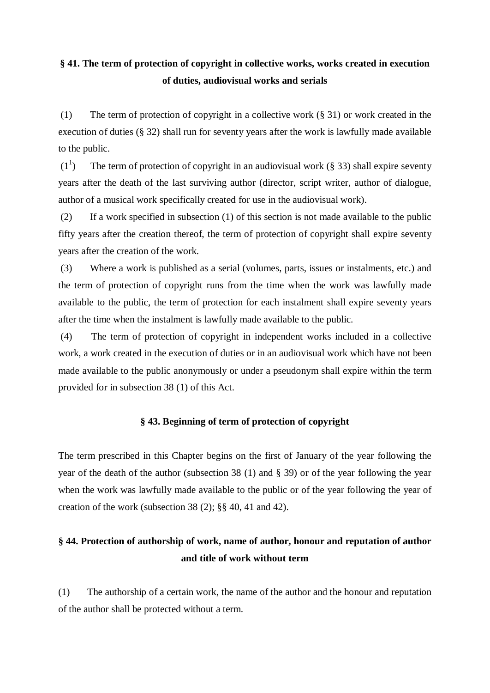# **§ 41. The term of protection of copyright in collective works, works created in execution of duties, audiovisual works and serials**

(1) The term of protection of copyright in a collective work (§ 31) or work created in the execution of duties (§ 32) shall run for seventy years after the work is lawfully made available to the public.

 $(1^1$ The term of protection of copyright in an audiovisual work  $(\S$  33) shall expire seventy years after the death of the last surviving author (director, script writer, author of dialogue, author of a musical work specifically created for use in the audiovisual work).

(2) If a work specified in subsection (1) of this section is not made available to the public fifty years after the creation thereof, the term of protection of copyright shall expire seventy years after the creation of the work.

(3) Where a work is published as a serial (volumes, parts, issues or instalments, etc.) and the term of protection of copyright runs from the time when the work was lawfully made available to the public, the term of protection for each instalment shall expire seventy years after the time when the instalment is lawfully made available to the public.

(4) The term of protection of copyright in independent works included in a collective work, a work created in the execution of duties or in an audiovisual work which have not been made available to the public anonymously or under a pseudonym shall expire within the term provided for in subsection 38 (1) of this Act.

## **§ 43. Beginning of term of protection of copyright**

The term prescribed in this Chapter begins on the first of January of the year following the year of the death of the author (subsection 38 (1) and § 39) or of the year following the year when the work was lawfully made available to the public or of the year following the year of creation of the work (subsection 38 (2); §§ 40, 41 and 42).

# **§ 44. Protection of authorship of work, name of author, honour and reputation of author and title of work without term**

(1) The authorship of a certain work, the name of the author and the honour and reputation of the author shall be protected without a term.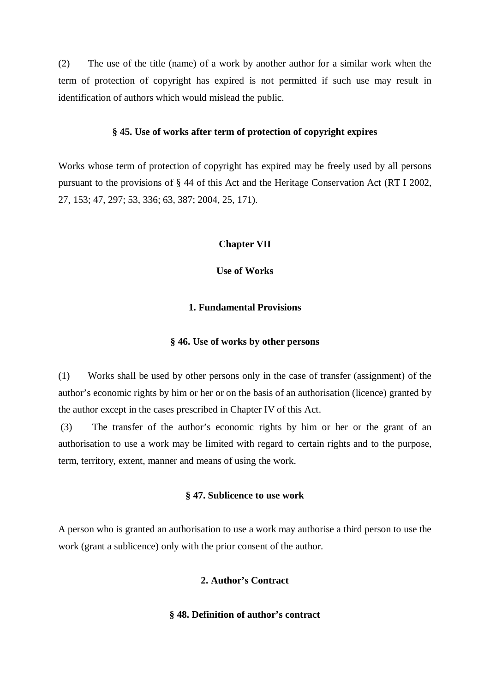(2) The use of the title (name) of a work by another author for a similar work when the term of protection of copyright has expired is not permitted if such use may result in identification of authors which would mislead the public.

### **§ 45. Use of works after term of protection of copyright expires**

Works whose term of protection of copyright has expired may be freely used by all persons pursuant to the provisions of § 44 of this Act and the Heritage Conservation Act (RT I 2002, 27, 153; 47, 297; 53, 336; 63, 387; 2004, 25, 171).

### **Chapter VII**

**Use of Works**

## **1. Fundamental Provisions**

### **§ 46. Use of works by other persons**

(1) Works shall be used by other persons only in the case of transfer (assignment) of the author's economic rights by him or her or on the basis of an authorisation (licence) granted by the author except in the cases prescribed in Chapter IV of this Act.

(3) The transfer of the author's economic rights by him or her or the grant of an authorisation to use a work may be limited with regard to certain rights and to the purpose, term, territory, extent, manner and means of using the work.

### **§ 47. Sublicence to use work**

A person who is granted an authorisation to use a work may authorise a third person to use the work (grant a sublicence) only with the prior consent of the author.

## **2. Author's Contract**

### **§ 48. Definition of author's contract**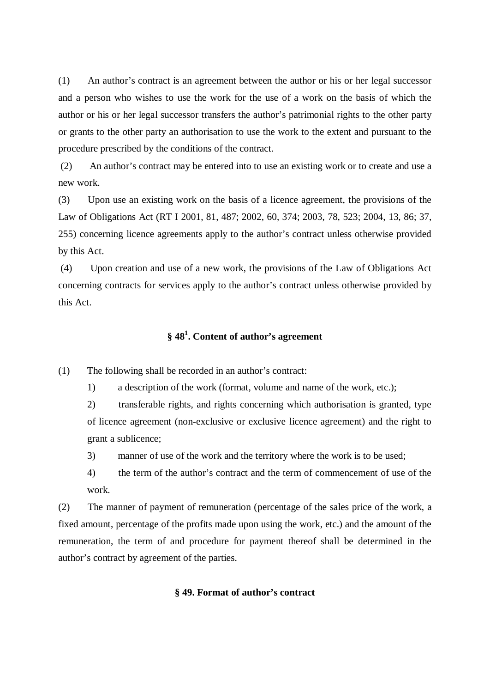(1) An author's contract is an agreement between the author or his or her legal successor and a person who wishes to use the work for the use of a work on the basis of which the author or his or her legal successor transfers the author's patrimonial rights to the other party or grants to the other party an authorisation to use the work to the extent and pursuant to the procedure prescribed by the conditions of the contract.

(2) An author's contract may be entered into to use an existing work or to create and use a new work.

(3) Upon use an existing work on the basis of a licence agreement, the provisions of the Law of Obligations Act (RT I 2001, 81, 487; 2002, 60, 374; 2003, 78, 523; 2004, 13, 86; 37, 255) concerning licence agreements apply to the author's contract unless otherwise provided by this Act.

(4) Upon creation and use of a new work, the provisions of the Law of Obligations Act concerning contracts for services apply to the author's contract unless otherwise provided by this Act.

# **§ 48 1 . Content of author's agreement**

(1) The following shall be recorded in an author's contract:

1) a description of the work (format, volume and name of the work, etc.);

2) transferable rights, and rights concerning which authorisation is granted, type of licence agreement (non-exclusive or exclusive licence agreement) and the right to grant a sublicence;

3) manner of use of the work and the territory where the work is to be used;

4) the term of the author's contract and the term of commencement of use of the work.

(2) The manner of payment of remuneration (percentage of the sales price of the work, a fixed amount, percentage of the profits made upon using the work, etc.) and the amount of the remuneration, the term of and procedure for payment thereof shall be determined in the author's contract by agreement of the parties.

### **§ 49. Format of author's contract**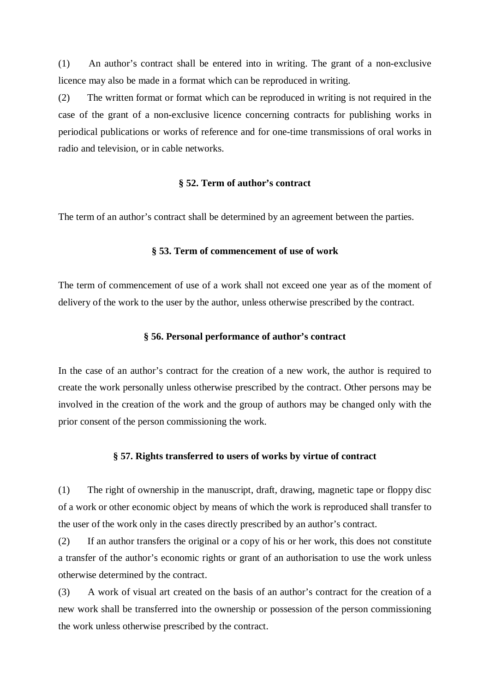(1) An author's contract shall be entered into in writing. The grant of a non-exclusive licence may also be made in a format which can be reproduced in writing.

(2) The written format or format which can be reproduced in writing is not required in the case of the grant of a non-exclusive licence concerning contracts for publishing works in periodical publications or works of reference and for one-time transmissions of oral works in radio and television, or in cable networks.

## **§ 52. Term of author's contract**

The term of an author's contract shall be determined by an agreement between the parties.

### **§ 53. Term of commencement of use of work**

The term of commencement of use of a work shall not exceed one year as of the moment of delivery of the work to the user by the author, unless otherwise prescribed by the contract.

### **§ 56. Personal performance of author's contract**

In the case of an author's contract for the creation of a new work, the author is required to create the work personally unless otherwise prescribed by the contract. Other persons may be involved in the creation of the work and the group of authors may be changed only with the prior consent of the person commissioning the work.

#### **§ 57. Rights transferred to users of works by virtue of contract**

(1) The right of ownership in the manuscript, draft, drawing, magnetic tape or floppy disc of a work or other economic object by means of which the work is reproduced shall transfer to the user of the work only in the cases directly prescribed by an author's contract.

(2) If an author transfers the original or a copy of his or her work, this does not constitute a transfer of the author's economic rights or grant of an authorisation to use the work unless otherwise determined by the contract.

(3) A work of visual art created on the basis of an author's contract for the creation of a new work shall be transferred into the ownership or possession of the person commissioning the work unless otherwise prescribed by the contract.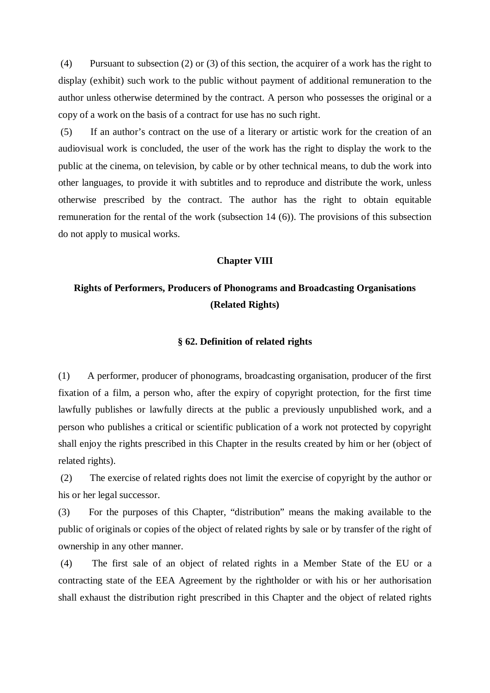(4) Pursuant to subsection (2) or (3) of this section, the acquirer of a work has the right to display (exhibit) such work to the public without payment of additional remuneration to the author unless otherwise determined by the contract. A person who possesses the original or a copy of a work on the basis of a contract for use has no such right.

(5) If an author's contract on the use of a literary or artistic work for the creation of an audiovisual work is concluded, the user of the work has the right to display the work to the public at the cinema, on television, by cable or by other technical means, to dub the work into other languages, to provide it with subtitles and to reproduce and distribute the work, unless otherwise prescribed by the contract. The author has the right to obtain equitable remuneration for the rental of the work (subsection 14 (6)). The provisions of this subsection do not apply to musical works.

### **Chapter VIII**

# **Rights of Performers, Producers of Phonograms and Broadcasting Organisations (Related Rights)**

### **§ 62. Definition of related rights**

(1) A performer, producer of phonograms, broadcasting organisation, producer of the first fixation of a film, a person who, after the expiry of copyright protection, for the first time lawfully publishes or lawfully directs at the public a previously unpublished work, and a person who publishes a critical or scientific publication of a work not protected by copyright shall enjoy the rights prescribed in this Chapter in the results created by him or her (object of related rights).

(2) The exercise of related rights does not limit the exercise of copyright by the author or his or her legal successor.

(3) For the purposes of this Chapter, "distribution" means the making available to the public of originals or copies of the object of related rights by sale or by transfer of the right of ownership in any other manner.

(4) The first sale of an object of related rights in a Member State of the EU or a contracting state of the EEA Agreement by the rightholder or with his or her authorisation shall exhaust the distribution right prescribed in this Chapter and the object of related rights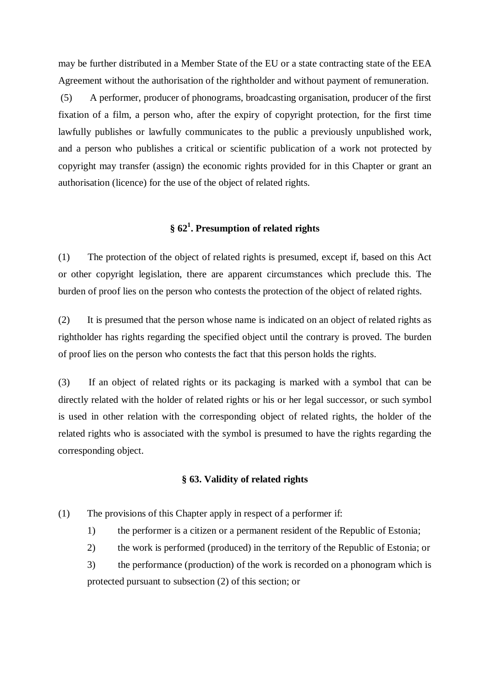may be further distributed in a Member State of the EU or a state contracting state of the EEA Agreement without the authorisation of the rightholder and without payment of remuneration.

(5) A performer, producer of phonograms, broadcasting organisation, producer of the first fixation of a film, a person who, after the expiry of copyright protection, for the first time lawfully publishes or lawfully communicates to the public a previously unpublished work, and a person who publishes a critical or scientific publication of a work not protected by copyright may transfer (assign) the economic rights provided for in this Chapter or grant an authorisation (licence) for the use of the object of related rights.

# **§ 62 1 . Presumption of related rights**

(1) The protection of the object of related rights is presumed, except if, based on this Act or other copyright legislation, there are apparent circumstances which preclude this. The burden of proof lies on the person who contests the protection of the object of related rights.

(2) It is presumed that the person whose name is indicated on an object of related rights as rightholder has rights regarding the specified object until the contrary is proved. The burden of proof lies on the person who contests the fact that this person holds the rights.

(3) If an object of related rights or its packaging is marked with a symbol that can be directly related with the holder of related rights or his or her legal successor, or such symbol is used in other relation with the corresponding object of related rights, the holder of the related rights who is associated with the symbol is presumed to have the rights regarding the corresponding object.

### **§ 63. Validity of related rights**

- (1) The provisions of this Chapter apply in respect of a performer if:
	- 1) the performer is a citizen or a permanent resident of the Republic of Estonia;
	- 2) the work is performed (produced) in the territory of the Republic of Estonia; or

3) the performance (production) of the work is recorded on a phonogram which is protected pursuant to subsection (2) of this section; or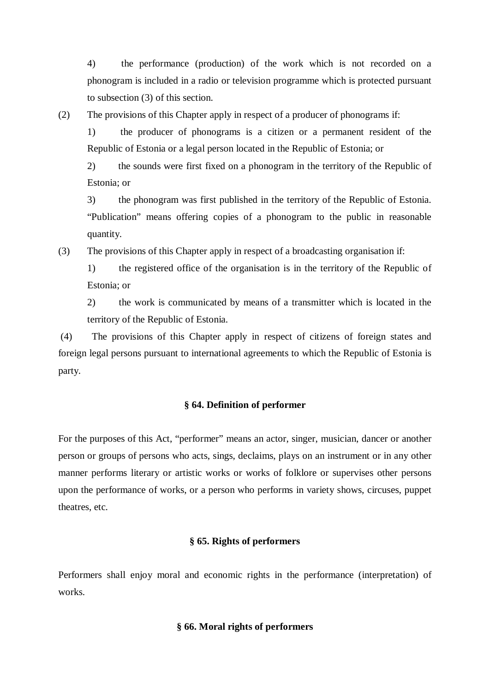4) the performance (production) of the work which is not recorded on a phonogram is included in a radio or television programme which is protected pursuant to subsection (3) of this section.

(2) The provisions of this Chapter apply in respect of a producer of phonograms if:

1) the producer of phonograms is a citizen or a permanent resident of the Republic of Estonia or a legal person located in the Republic of Estonia; or

2) the sounds were first fixed on a phonogram in the territory of the Republic of Estonia; or

3) the phonogram was first published in the territory of the Republic of Estonia. "Publication" means offering copies of a phonogram to the public in reasonable quantity.

(3) The provisions of this Chapter apply in respect of a broadcasting organisation if:

1) the registered office of the organisation is in the territory of the Republic of Estonia; or

2) the work is communicated by means of a transmitter which is located in the territory of the Republic of Estonia.

(4) The provisions of this Chapter apply in respect of citizens of foreign states and foreign legal persons pursuant to international agreements to which the Republic of Estonia is party.

## **§ 64. Definition of performer**

For the purposes of this Act, "performer" means an actor, singer, musician, dancer or another person or groups of persons who acts, sings, declaims, plays on an instrument or in any other manner performs literary or artistic works or works of folklore or supervises other persons upon the performance of works, or a person who performs in variety shows, circuses, puppet theatres, etc.

## **§ 65. Rights of performers**

Performers shall enjoy moral and economic rights in the performance (interpretation) of works.

## **§ 66. Moral rights of performers**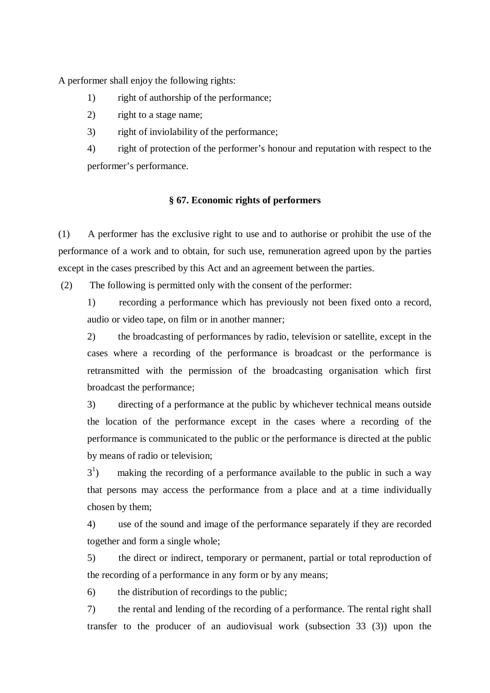A performer shall enjoy the following rights:

- 1) right of authorship of the performance;
- 2) right to a stage name;
- 3) right of inviolability of the performance;

4) right of protection of the performer's honour and reputation with respect to the performer's performance.

## **§ 67. Economic rights of performers**

(1) A performer has the exclusive right to use and to authorise or prohibit the use of the performance of a work and to obtain, for such use, remuneration agreed upon by the parties except in the cases prescribed by this Act and an agreement between the parties.

(2) The following is permitted only with the consent of the performer:

1) recording a performance which has previously not been fixed onto a record, audio or video tape, on film or in another manner;

2) the broadcasting of performances by radio, television or satellite, except in the cases where a recording of the performance is broadcast or the performance is retransmitted with the permission of the broadcasting organisation which first broadcast the performance;

3) directing of a performance at the public by whichever technical means outside the location of the performance except in the cases where a recording of the performance is communicated to the public or the performance is directed at the public by means of radio or television;

 $3<sup>1</sup>$ ) making the recording of a performance available to the public in such a way that persons may access the performance from a place and at a time individually chosen by them;

4) use of the sound and image of the performance separately if they are recorded together and form a single whole;

5) the direct or indirect, temporary or permanent, partial or total reproduction of the recording of a performance in any form or by any means;

6) the distribution of recordings to the public;

7) the rental and lending of the recording of a performance. The rental right shall transfer to the producer of an audiovisual work (subsection 33 (3)) upon the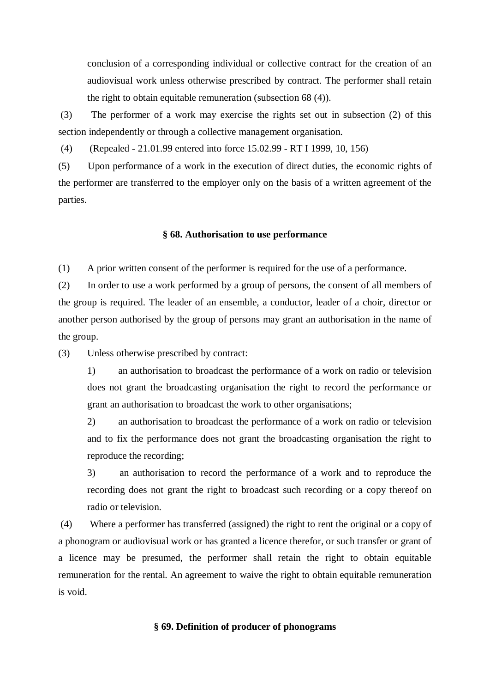conclusion of a corresponding individual or collective contract for the creation of an audiovisual work unless otherwise prescribed by contract. The performer shall retain the right to obtain equitable remuneration (subsection 68 (4)).

(3) The performer of a work may exercise the rights set out in subsection (2) of this section independently or through a collective management organisation.

(4) (Repealed - 21.01.99 entered into force 15.02.99 - RT I 1999, 10, 156)

(5) Upon performance of a work in the execution of direct duties, the economic rights of the performer are transferred to the employer only on the basis of a written agreement of the parties.

#### **§ 68. Authorisation to use performance**

(1) A prior written consent of the performer is required for the use of a performance.

(2) In order to use a work performed by a group of persons, the consent of all members of the group is required. The leader of an ensemble, a conductor, leader of a choir, director or another person authorised by the group of persons may grant an authorisation in the name of the group.

(3) Unless otherwise prescribed by contract:

1) an authorisation to broadcast the performance of a work on radio or television does not grant the broadcasting organisation the right to record the performance or grant an authorisation to broadcast the work to other organisations;

2) an authorisation to broadcast the performance of a work on radio or television and to fix the performance does not grant the broadcasting organisation the right to reproduce the recording;

3) an authorisation to record the performance of a work and to reproduce the recording does not grant the right to broadcast such recording or a copy thereof on radio or television.

(4) Where a performer has transferred (assigned) the right to rent the original or a copy of a phonogram or audiovisual work or has granted a licence therefor, or such transfer or grant of a licence may be presumed, the performer shall retain the right to obtain equitable remuneration for the rental. An agreement to waive the right to obtain equitable remuneration is void.

## **§ 69. Definition of producer of phonograms**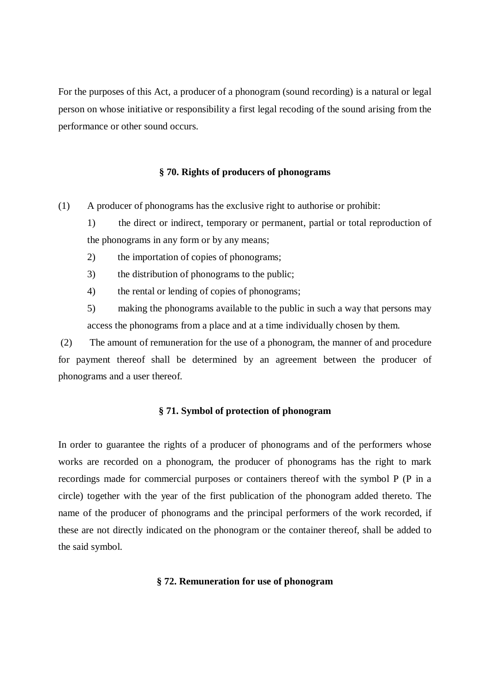For the purposes of this Act, a producer of a phonogram (sound recording) is a natural or legal person on whose initiative or responsibility a first legal recoding of the sound arising from the performance or other sound occurs.

### **§ 70. Rights of producers of phonograms**

(1) A producer of phonograms has the exclusive right to authorise or prohibit:

1) the direct or indirect, temporary or permanent, partial or total reproduction of the phonograms in any form or by any means;

- 2) the importation of copies of phonograms;
- 3) the distribution of phonograms to the public;
- 4) the rental or lending of copies of phonograms;

5) making the phonograms available to the public in such a way that persons may access the phonograms from a place and at a time individually chosen by them.

(2) The amount of remuneration for the use of a phonogram, the manner of and procedure for payment thereof shall be determined by an agreement between the producer of phonograms and a user thereof.

### **§ 71. Symbol of protection of phonogram**

In order to guarantee the rights of a producer of phonograms and of the performers whose works are recorded on a phonogram, the producer of phonograms has the right to mark recordings made for commercial purposes or containers thereof with the symbol P (P in a circle) together with the year of the first publication of the phonogram added thereto. The name of the producer of phonograms and the principal performers of the work recorded, if these are not directly indicated on the phonogram or the container thereof, shall be added to the said symbol.

#### **§ 72. Remuneration for use of phonogram**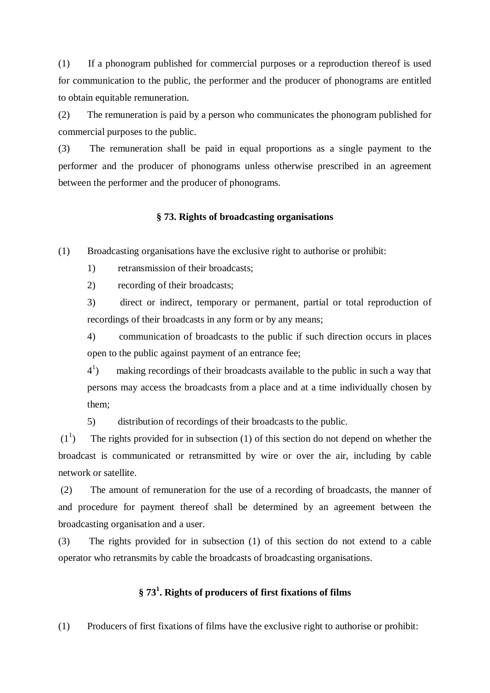(1) If a phonogram published for commercial purposes or a reproduction thereof is used for communication to the public, the performer and the producer of phonograms are entitled to obtain equitable remuneration.

(2) The remuneration is paid by a person who communicates the phonogram published for commercial purposes to the public.

(3) The remuneration shall be paid in equal proportions as a single payment to the performer and the producer of phonograms unless otherwise prescribed in an agreement between the performer and the producer of phonograms.

### **§ 73. Rights of broadcasting organisations**

(1) Broadcasting organisations have the exclusive right to authorise or prohibit:

1) retransmission of their broadcasts;

2) recording of their broadcasts;

3) direct or indirect, temporary or permanent, partial or total reproduction of recordings of their broadcasts in any form or by any means;

4) communication of broadcasts to the public if such direction occurs in places open to the public against payment of an entrance fee;

 $4^{1}$ ) making recordings of their broadcasts available to the public in such a way that persons may access the broadcasts from a place and at a time individually chosen by them;

5) distribution of recordings of their broadcasts to the public.

 $\left(1\right]$ ) The rights provided for in subsection (1) of this section do not depend on whether the broadcast is communicated or retransmitted by wire or over the air, including by cable network or satellite.

(2) The amount of remuneration for the use of a recording of broadcasts, the manner of and procedure for payment thereof shall be determined by an agreement between the broadcasting organisation and a user.

(3) The rights provided for in subsection (1) of this section do not extend to a cable operator who retransmits by cable the broadcasts of broadcasting organisations.

# **§ 73 1 . Rights of producers of first fixations of films**

(1) Producers of first fixations of films have the exclusive right to authorise or prohibit: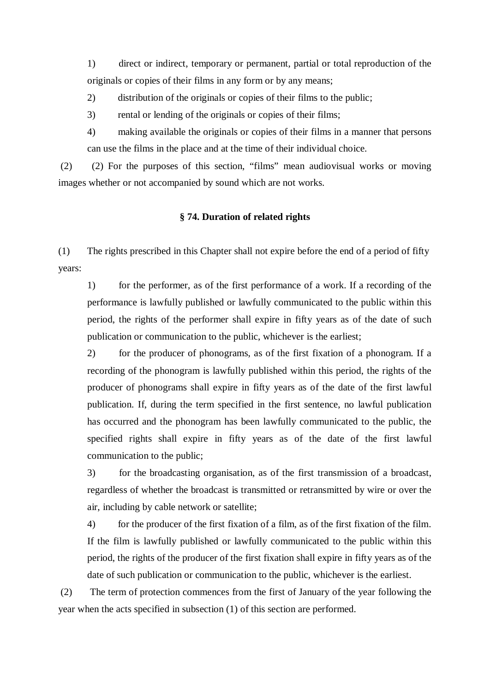1) direct or indirect, temporary or permanent, partial or total reproduction of the originals or copies of their films in any form or by any means;

2) distribution of the originals or copies of their films to the public;

3) rental or lending of the originals or copies of their films;

4) making available the originals or copies of their films in a manner that persons can use the films in the place and at the time of their individual choice.

(2) (2) For the purposes of this section, "films" mean audiovisual works or moving images whether or not accompanied by sound which are not works.

## **§ 74. Duration of related rights**

(1) The rights prescribed in this Chapter shall not expire before the end of a period of fifty years:

1) for the performer, as of the first performance of a work. If a recording of the performance is lawfully published or lawfully communicated to the public within this period, the rights of the performer shall expire in fifty years as of the date of such publication or communication to the public, whichever is the earliest;

2) for the producer of phonograms, as of the first fixation of a phonogram. If a recording of the phonogram is lawfully published within this period, the rights of the producer of phonograms shall expire in fifty years as of the date of the first lawful publication. If, during the term specified in the first sentence, no lawful publication has occurred and the phonogram has been lawfully communicated to the public, the specified rights shall expire in fifty years as of the date of the first lawful communication to the public;

3) for the broadcasting organisation, as of the first transmission of a broadcast, regardless of whether the broadcast is transmitted or retransmitted by wire or over the air, including by cable network or satellite;

4) for the producer of the first fixation of a film, as of the first fixation of the film. If the film is lawfully published or lawfully communicated to the public within this period, the rights of the producer of the first fixation shall expire in fifty years as of the date of such publication or communication to the public, whichever is the earliest.

(2) The term of protection commences from the first of January of the year following the year when the acts specified in subsection (1) of this section are performed.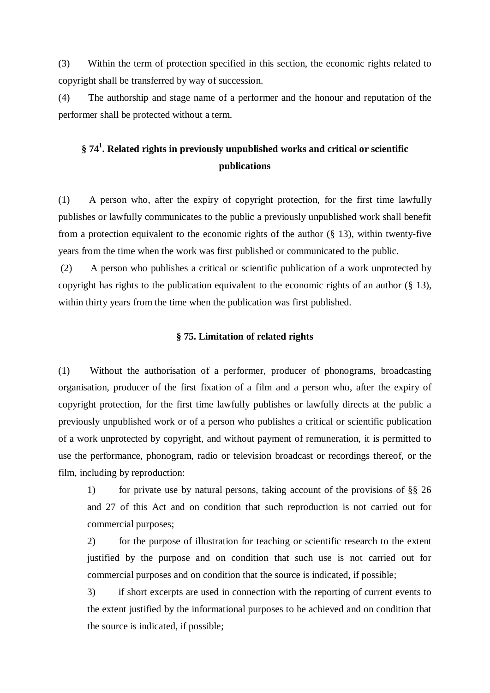(3) Within the term of protection specified in this section, the economic rights related to copyright shall be transferred by way of succession.

(4) The authorship and stage name of a performer and the honour and reputation of the performer shall be protected without a term.

# **§ 74 1 . Related rights in previously unpublished works and critical or scientific publications**

(1) A person who, after the expiry of copyright protection, for the first time lawfully publishes or lawfully communicates to the public a previously unpublished work shall benefit from a protection equivalent to the economic rights of the author  $(\S 13)$ , within twenty-five years from the time when the work was first published or communicated to the public.

(2) A person who publishes a critical or scientific publication of a work unprotected by copyright has rights to the publication equivalent to the economic rights of an author (§ 13), within thirty years from the time when the publication was first published.

## **§ 75. Limitation of related rights**

(1) Without the authorisation of a performer, producer of phonograms, broadcasting organisation, producer of the first fixation of a film and a person who, after the expiry of copyright protection, for the first time lawfully publishes or lawfully directs at the public a previously unpublished work or of a person who publishes a critical or scientific publication of a work unprotected by copyright, and without payment of remuneration, it is permitted to use the performance, phonogram, radio or television broadcast or recordings thereof, or the film, including by reproduction:

1) for private use by natural persons, taking account of the provisions of §§ 26 and 27 of this Act and on condition that such reproduction is not carried out for commercial purposes;

2) for the purpose of illustration for teaching or scientific research to the extent justified by the purpose and on condition that such use is not carried out for commercial purposes and on condition that the source is indicated, if possible;

3) if short excerpts are used in connection with the reporting of current events to the extent justified by the informational purposes to be achieved and on condition that the source is indicated, if possible;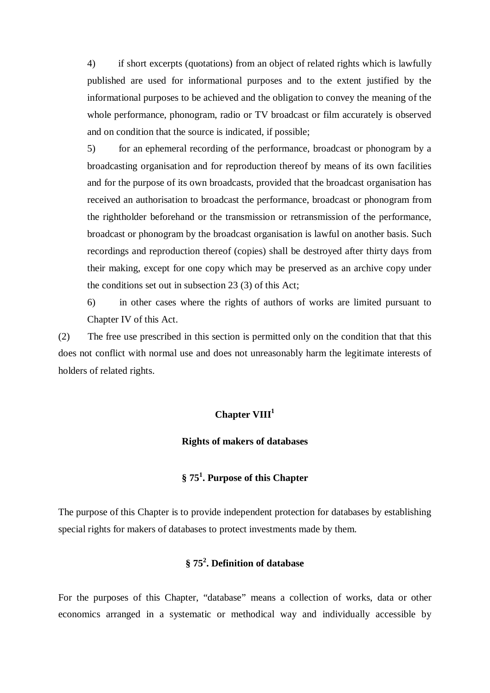4) if short excerpts (quotations) from an object of related rights which is lawfully published are used for informational purposes and to the extent justified by the informational purposes to be achieved and the obligation to convey the meaning of the whole performance, phonogram, radio or TV broadcast or film accurately is observed and on condition that the source is indicated, if possible;

5) for an ephemeral recording of the performance, broadcast or phonogram by a broadcasting organisation and for reproduction thereof by means of its own facilities and for the purpose of its own broadcasts, provided that the broadcast organisation has received an authorisation to broadcast the performance, broadcast or phonogram from the rightholder beforehand or the transmission or retransmission of the performance, broadcast or phonogram by the broadcast organisation is lawful on another basis. Such recordings and reproduction thereof (copies) shall be destroyed after thirty days from their making, except for one copy which may be preserved as an archive copy under the conditions set out in subsection 23 (3) of this Act;

6) in other cases where the rights of authors of works are limited pursuant to Chapter IV of this Act.

(2) The free use prescribed in this section is permitted only on the condition that that this does not conflict with normal use and does not unreasonably harm the legitimate interests of holders of related rights.

# **Chapter VIII 1**

### **Rights of makers of databases**

# **§ 75 1 . Purpose of this Chapter**

The purpose of this Chapter is to provide independent protection for databases by establishing special rights for makers of databases to protect investments made by them.

# **§ 75 2 . Definition of database**

For the purposes of this Chapter, "database" means a collection of works, data or other economics arranged in a systematic or methodical way and individually accessible by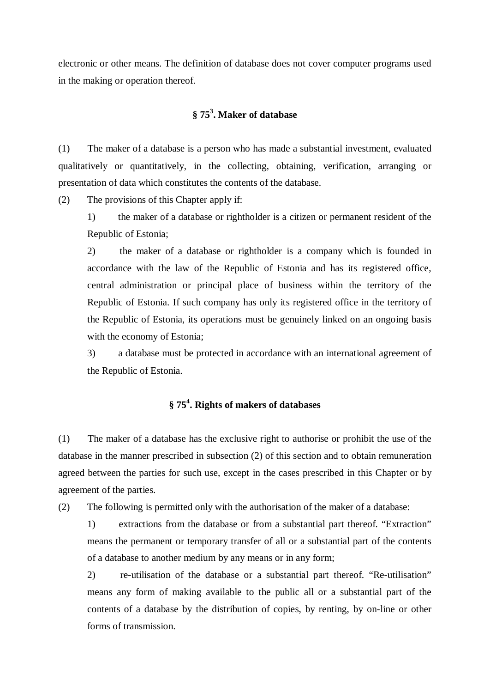electronic or other means. The definition of database does not cover computer programs used in the making or operation thereof.

# **§ 75 3 . Maker of database**

(1) The maker of a database is a person who has made a substantial investment, evaluated qualitatively or quantitatively, in the collecting, obtaining, verification, arranging or presentation of data which constitutes the contents of the database.

(2) The provisions of this Chapter apply if:

1) the maker of a database or rightholder is a citizen or permanent resident of the Republic of Estonia;

2) the maker of a database or rightholder is a company which is founded in accordance with the law of the Republic of Estonia and has its registered office, central administration or principal place of business within the territory of the Republic of Estonia. If such company has only its registered office in the territory of the Republic of Estonia, its operations must be genuinely linked on an ongoing basis with the economy of Estonia;

3) a database must be protected in accordance with an international agreement of the Republic of Estonia.

# **§ 75 4 . Rights of makers of databases**

(1) The maker of a database has the exclusive right to authorise or prohibit the use of the database in the manner prescribed in subsection (2) of this section and to obtain remuneration agreed between the parties for such use, except in the cases prescribed in this Chapter or by agreement of the parties.

(2) The following is permitted only with the authorisation of the maker of a database:

1) extractions from the database or from a substantial part thereof. "Extraction" means the permanent or temporary transfer of all or a substantial part of the contents of a database to another medium by any means or in any form;

2) re-utilisation of the database or a substantial part thereof. "Re-utilisation" means any form of making available to the public all or a substantial part of the contents of a database by the distribution of copies, by renting, by on-line or other forms of transmission.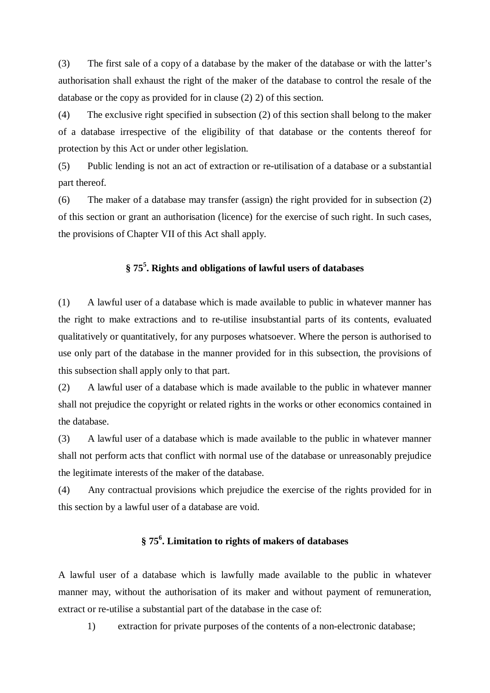(3) The first sale of a copy of a database by the maker of the database or with the latter's authorisation shall exhaust the right of the maker of the database to control the resale of the database or the copy as provided for in clause (2) 2) of this section.

(4) The exclusive right specified in subsection (2) of this section shall belong to the maker of a database irrespective of the eligibility of that database or the contents thereof for protection by this Act or under other legislation.

(5) Public lending is not an act of extraction or re-utilisation of a database or a substantial part thereof.

(6) The maker of a database may transfer (assign) the right provided for in subsection (2) of this section or grant an authorisation (licence) for the exercise of such right. In such cases, the provisions of Chapter VII of this Act shall apply.

# **§ 75 5 . Rights and obligations of lawful users of databases**

(1) A lawful user of a database which is made available to public in whatever manner has the right to make extractions and to re-utilise insubstantial parts of its contents, evaluated qualitatively or quantitatively, for any purposes whatsoever. Where the person is authorised to use only part of the database in the manner provided for in this subsection, the provisions of this subsection shall apply only to that part.

(2) A lawful user of a database which is made available to the public in whatever manner shall not prejudice the copyright or related rights in the works or other economics contained in the database.

(3) A lawful user of a database which is made available to the public in whatever manner shall not perform acts that conflict with normal use of the database or unreasonably prejudice the legitimate interests of the maker of the database.

(4) Any contractual provisions which prejudice the exercise of the rights provided for in this section by a lawful user of a database are void.

# **§ 75 6 . Limitation to rights of makers of databases**

A lawful user of a database which is lawfully made available to the public in whatever manner may, without the authorisation of its maker and without payment of remuneration, extract or re-utilise a substantial part of the database in the case of:

1) extraction for private purposes of the contents of a non-electronic database;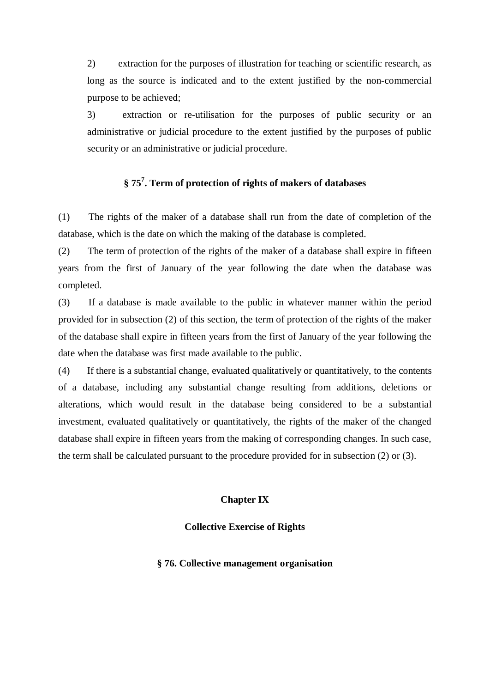2) extraction for the purposes of illustration for teaching or scientific research, as long as the source is indicated and to the extent justified by the non-commercial purpose to be achieved;

3) extraction or re-utilisation for the purposes of public security or an administrative or judicial procedure to the extent justified by the purposes of public security or an administrative or judicial procedure.

# **§ 75 7 . Term of protection of rights of makers of databases**

(1) The rights of the maker of a database shall run from the date of completion of the database, which is the date on which the making of the database is completed.

(2) The term of protection of the rights of the maker of a database shall expire in fifteen years from the first of January of the year following the date when the database was completed.

(3) If a database is made available to the public in whatever manner within the period provided for in subsection (2) of this section, the term of protection of the rights of the maker of the database shall expire in fifteen years from the first of January of the year following the date when the database was first made available to the public.

(4) If there is a substantial change, evaluated qualitatively or quantitatively, to the contents of a database, including any substantial change resulting from additions, deletions or alterations, which would result in the database being considered to be a substantial investment, evaluated qualitatively or quantitatively, the rights of the maker of the changed database shall expire in fifteen years from the making of corresponding changes. In such case, the term shall be calculated pursuant to the procedure provided for in subsection (2) or (3).

### **Chapter IX**

### **Collective Exercise of Rights**

#### **§ 76. Collective management organisation**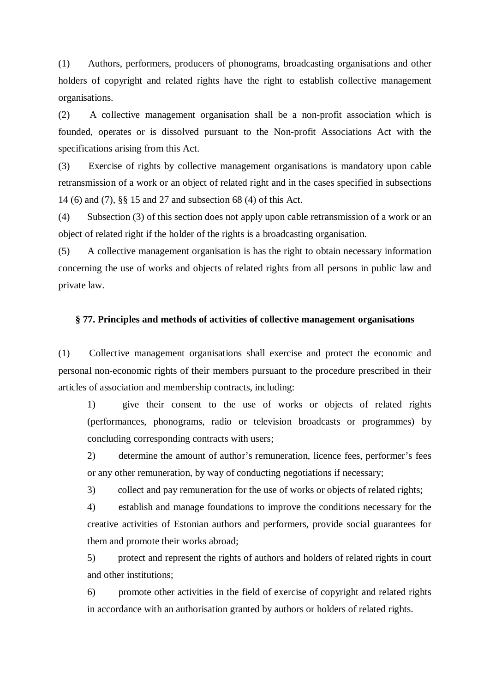(1) Authors, performers, producers of phonograms, broadcasting organisations and other holders of copyright and related rights have the right to establish collective management organisations.

(2) A collective management organisation shall be a non-profit association which is founded, operates or is dissolved pursuant to the Non-profit Associations Act with the specifications arising from this Act.

(3) Exercise of rights by collective management organisations is mandatory upon cable retransmission of a work or an object of related right and in the cases specified in subsections 14 (6) and (7), §§ 15 and 27 and subsection 68 (4) of this Act.

(4) Subsection (3) of this section does not apply upon cable retransmission of a work or an object of related right if the holder of the rights is a broadcasting organisation.

(5) A collective management organisation is has the right to obtain necessary information concerning the use of works and objects of related rights from all persons in public law and private law.

### **§ 77. Principles and methods of activities of collective management organisations**

(1) Collective management organisations shall exercise and protect the economic and personal non-economic rights of their members pursuant to the procedure prescribed in their articles of association and membership contracts, including:

1) give their consent to the use of works or objects of related rights (performances, phonograms, radio or television broadcasts or programmes) by concluding corresponding contracts with users;

2) determine the amount of author's remuneration, licence fees, performer's fees or any other remuneration, by way of conducting negotiations if necessary;

3) collect and pay remuneration for the use of works or objects of related rights;

4) establish and manage foundations to improve the conditions necessary for the creative activities of Estonian authors and performers, provide social guarantees for them and promote their works abroad;

5) protect and represent the rights of authors and holders of related rights in court and other institutions;

6) promote other activities in the field of exercise of copyright and related rights in accordance with an authorisation granted by authors or holders of related rights.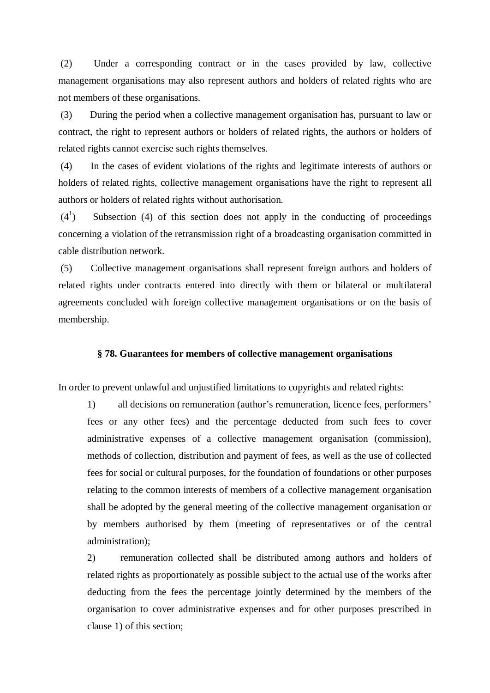(2) Under a corresponding contract or in the cases provided by law, collective management organisations may also represent authors and holders of related rights who are not members of these organisations.

(3) During the period when a collective management organisation has, pursuant to law or contract, the right to represent authors or holders of related rights, the authors or holders of related rights cannot exercise such rights themselves.

(4) In the cases of evident violations of the rights and legitimate interests of authors or holders of related rights, collective management organisations have the right to represent all authors or holders of related rights without authorisation.

 $(4^1)$ ) Subsection (4) of this section does not apply in the conducting of proceedings concerning a violation of the retransmission right of a broadcasting organisation committed in cable distribution network.

(5) Collective management organisations shall represent foreign authors and holders of related rights under contracts entered into directly with them or bilateral or multilateral agreements concluded with foreign collective management organisations or on the basis of membership.

### **§ 78. Guarantees for members of collective management organisations**

In order to prevent unlawful and unjustified limitations to copyrights and related rights:

1) all decisions on remuneration (author's remuneration, licence fees, performers' fees or any other fees) and the percentage deducted from such fees to cover administrative expenses of a collective management organisation (commission), methods of collection, distribution and payment of fees, as well as the use of collected fees for social or cultural purposes, for the foundation of foundations or other purposes relating to the common interests of members of a collective management organisation shall be adopted by the general meeting of the collective management organisation or by members authorised by them (meeting of representatives or of the central administration);

2) remuneration collected shall be distributed among authors and holders of related rights as proportionately as possible subject to the actual use of the works after deducting from the fees the percentage jointly determined by the members of the organisation to cover administrative expenses and for other purposes prescribed in clause 1) of this section;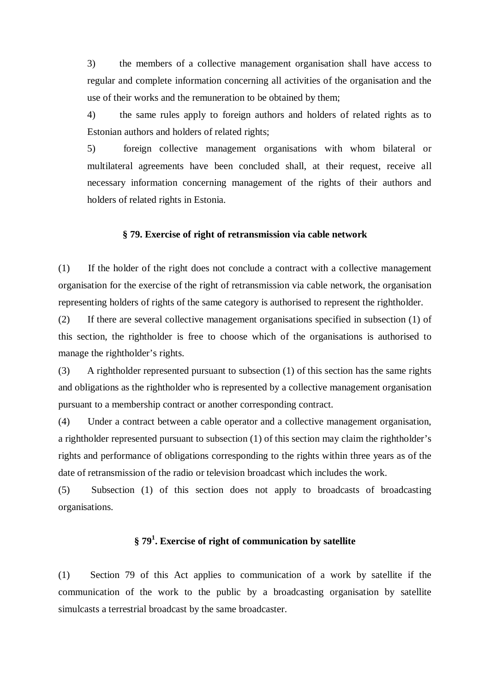3) the members of a collective management organisation shall have access to regular and complete information concerning all activities of the organisation and the use of their works and the remuneration to be obtained by them;

4) the same rules apply to foreign authors and holders of related rights as to Estonian authors and holders of related rights;

5) foreign collective management organisations with whom bilateral or multilateral agreements have been concluded shall, at their request, receive all necessary information concerning management of the rights of their authors and holders of related rights in Estonia.

### **§ 79. Exercise of right of retransmission via cable network**

(1) If the holder of the right does not conclude a contract with a collective management organisation for the exercise of the right of retransmission via cable network, the organisation representing holders of rights of the same category is authorised to represent the rightholder.

(2) If there are several collective management organisations specified in subsection (1) of this section, the rightholder is free to choose which of the organisations is authorised to manage the rightholder's rights.

(3) A rightholder represented pursuant to subsection (1) of this section has the same rights and obligations as the rightholder who is represented by a collective management organisation pursuant to a membership contract or another corresponding contract.

(4) Under a contract between a cable operator and a collective management organisation, a rightholder represented pursuant to subsection (1) of this section may claim the rightholder's rights and performance of obligations corresponding to the rights within three years as of the date of retransmission of the radio or television broadcast which includes the work.

(5) Subsection (1) of this section does not apply to broadcasts of broadcasting organisations.

# **§ 79 1 . Exercise of right of communication by satellite**

(1) Section 79 of this Act applies to communication of a work by satellite if the communication of the work to the public by a broadcasting organisation by satellite simulcasts a terrestrial broadcast by the same broadcaster.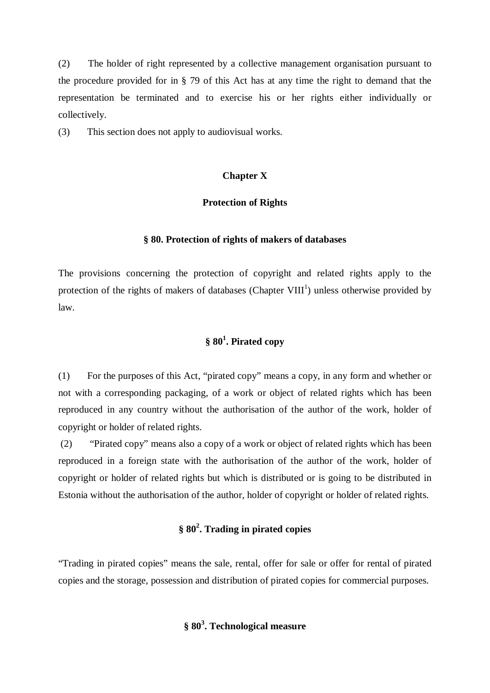(2) The holder of right represented by a collective management organisation pursuant to the procedure provided for in § 79 of this Act has at any time the right to demand that the representation be terminated and to exercise his or her rights either individually or collectively.

(3) This section does not apply to audiovisual works.

### **Chapter X**

### **Protection of Rights**

### **§ 80. Protection of rights of makers of databases**

The provisions concerning the protection of copyright and related rights apply to the protection of the rights of makers of databases (Chapter VIII<sup>1</sup>) unless otherwise provided by law.

# **§ 80 1 . Pirated copy**

(1) For the purposes of this Act, "pirated copy" means a copy, in any form and whether or not with a corresponding packaging, of a work or object of related rights which has been reproduced in any country without the authorisation of the author of the work, holder of copyright or holder of related rights.

(2) "Pirated copy" means also a copy of a work or object of related rights which has been reproduced in a foreign state with the authorisation of the author of the work, holder of copyright or holder of related rights but which is distributed or is going to be distributed in Estonia without the authorisation of the author, holder of copyright or holder of related rights.

# **§ 80 2 . Trading in pirated copies**

"Trading in pirated copies" means the sale, rental, offer for sale or offer for rental of pirated copies and the storage, possession and distribution of pirated copies for commercial purposes.

# **§ 80 3 . Technological measure**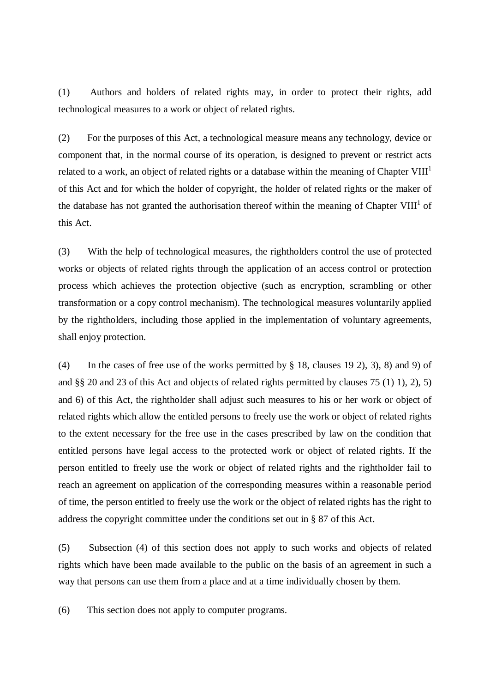(1) Authors and holders of related rights may, in order to protect their rights, add technological measures to a work or object of related rights.

(2) For the purposes of this Act, a technological measure means any technology, device or component that, in the normal course of its operation, is designed to prevent or restrict acts related to a work, an object of related rights or a database within the meaning of Chapter VIII $^{\rm l}$ of this Act and for which the holder of copyright, the holder of related rights or the maker of the database has not granted the authorisation thereof within the meaning of Chapter VIII<sup>1</sup> of this Act.

(3) With the help of technological measures, the rightholders control the use of protected works or objects of related rights through the application of an access control or protection process which achieves the protection objective (such as encryption, scrambling or other transformation or a copy control mechanism). The technological measures voluntarily applied by the rightholders, including those applied in the implementation of voluntary agreements, shall enjoy protection.

(4) In the cases of free use of the works permitted by § 18, clauses 19 2), 3), 8) and 9) of and §§ 20 and 23 of this Act and objects of related rights permitted by clauses 75 (1) 1), 2), 5) and 6) of this Act, the rightholder shall adjust such measures to his or her work or object of related rights which allow the entitled persons to freely use the work or object of related rights to the extent necessary for the free use in the cases prescribed by law on the condition that entitled persons have legal access to the protected work or object of related rights. If the person entitled to freely use the work or object of related rights and the rightholder fail to reach an agreement on application of the corresponding measures within a reasonable period of time, the person entitled to freely use the work or the object of related rights has the right to address the copyright committee under the conditions set out in § 87 of this Act.

(5) Subsection (4) of this section does not apply to such works and objects of related rights which have been made available to the public on the basis of an agreement in such a way that persons can use them from a place and at a time individually chosen by them.

(6) This section does not apply to computer programs.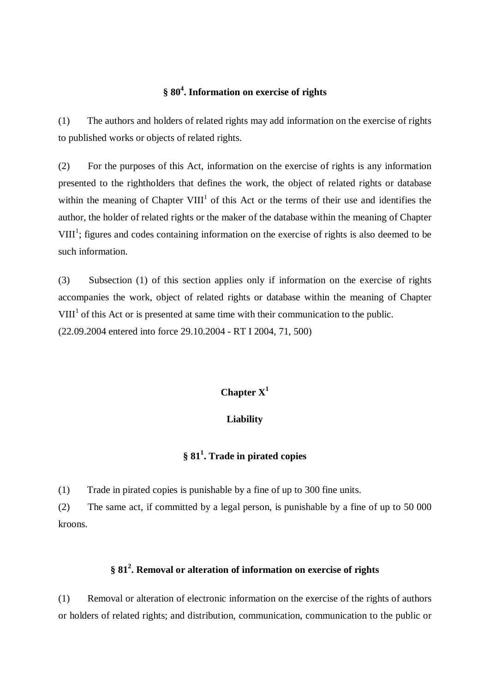# **§ 80 4 . Information on exercise of rights**

(1) The authors and holders of related rights may add information on the exercise of rights to published works or objects of related rights.

(2) For the purposes of this Act, information on the exercise of rights is any information presented to the rightholders that defines the work, the object of related rights or database within the meaning of Chapter  $VIII<sup>1</sup>$  of this Act or the terms of their use and identifies the author, the holder of related rights or the maker of the database within the meaning of Chapter  $VIII<sup>1</sup>$ ; figures and codes containing information on the exercise of rights is also deemed to be such information.

(3) Subsection (1) of this section applies only if information on the exercise of rights accompanies the work, object of related rights or database within the meaning of Chapter  $VIII<sup>1</sup>$  of this Act or is presented at same time with their communication to the public. (22.09.2004 entered into force 29.10.2004 - RT I 2004, 71, 500)

# **Chapter X 1**

### **Liability**

# **§ 81 1 . Trade in pirated copies**

(1) Trade in pirated copies is punishable by a fine of up to 300 fine units.

(2) The same act, if committed by a legal person, is punishable by a fine of up to 50 000 kroons.

# **§ 81 2 . Removal or alteration of information on exercise of rights**

(1) Removal or alteration of electronic information on the exercise of the rights of authors or holders of related rights; and distribution, communication, communication to the public or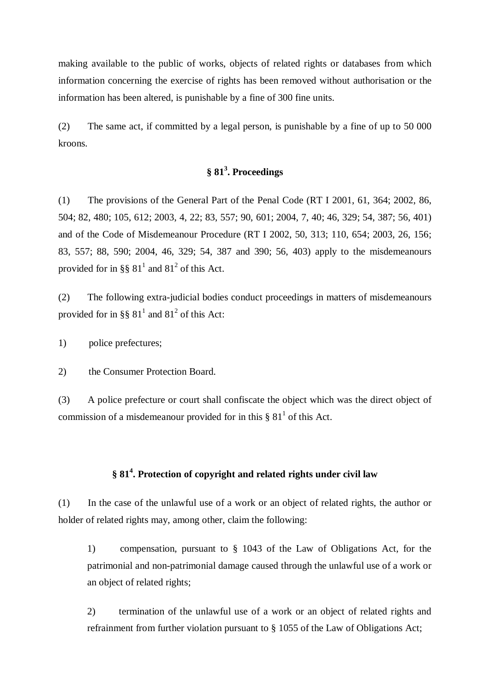making available to the public of works, objects of related rights or databases from which information concerning the exercise of rights has been removed without authorisation or the information has been altered, is punishable by a fine of 300 fine units.

(2) The same act, if committed by a legal person, is punishable by a fine of up to 50 000 kroons.

# **§ 81 3 . Proceedings**

(1) The provisions of the General Part of the Penal Code (RT I 2001, 61, 364; 2002, 86, 504; 82, 480; 105, 612; 2003, 4, 22; 83, 557; 90, 601; 2004, 7, 40; 46, 329; 54, 387; 56, 401) and of the Code of Misdemeanour Procedure (RT I 2002, 50, 313; 110, 654; 2003, 26, 156; 83, 557; 88, 590; 2004, 46, 329; 54, 387 and 390; 56, 403) apply to the misdemeanours provided for in §§  $81^1$  and  $81^2$  of this Act.

(2) The following extra-judicial bodies conduct proceedings in matters of misdemeanours provided for in §§  $81<sup>1</sup>$  and  $81<sup>2</sup>$  of this Act:

1) police prefectures;

2) the Consumer Protection Board.

(3) A police prefecture or court shall confiscate the object which was the direct object of commission of a misdemeanour provided for in this  $\S 81<sup>1</sup>$  of this Act.

# **§ 81 4 . Protection of copyright and related rights under civil law**

(1) In the case of the unlawful use of a work or an object of related rights, the author or holder of related rights may, among other, claim the following:

1) compensation, pursuant to § 1043 of the Law of Obligations Act, for the patrimonial and non-patrimonial damage caused through the unlawful use of a work or an object of related rights;

2) termination of the unlawful use of a work or an object of related rights and refrainment from further violation pursuant to § 1055 of the Law of Obligations Act;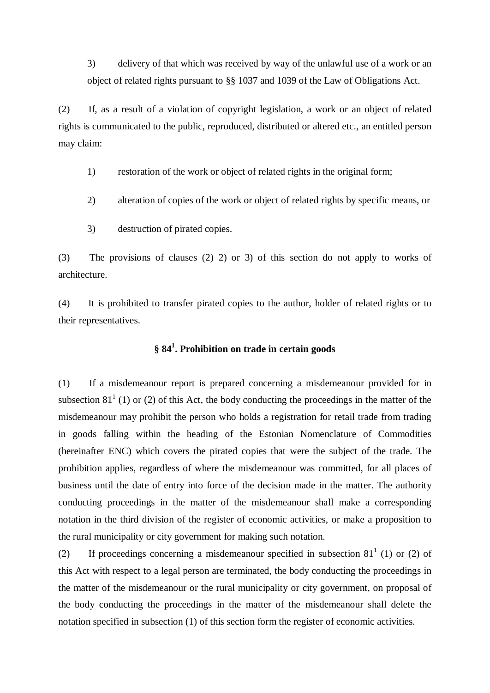3) delivery of that which was received by way of the unlawful use of a work or an object of related rights pursuant to §§ 1037 and 1039 of the Law of Obligations Act.

(2) If, as a result of a violation of copyright legislation, a work or an object of related rights is communicated to the public, reproduced, distributed or altered etc., an entitled person may claim:

1) restoration of the work or object of related rights in the original form;

- 2) alteration of copies of the work or object of related rights by specific means, or
- 3) destruction of pirated copies.

(3) The provisions of clauses (2) 2) or 3) of this section do not apply to works of architecture.

(4) It is prohibited to transfer pirated copies to the author, holder of related rights or to their representatives.

# **§ 84 1 . Prohibition on trade in certain goods**

(1) If a misdemeanour report is prepared concerning a misdemeanour provided for in subsection 81<sup>1</sup> (1) or (2) of this Act, the body conducting the proceedings in the matter of the misdemeanour may prohibit the person who holds a registration for retail trade from trading in goods falling within the heading of the Estonian Nomenclature of Commodities (hereinafter ENC) which covers the pirated copies that were the subject of the trade. The prohibition applies, regardless of where the misdemeanour was committed, for all places of business until the date of entry into force of the decision made in the matter. The authority conducting proceedings in the matter of the misdemeanour shall make a corresponding notation in the third division of the register of economic activities, or make a proposition to the rural municipality or city government for making such notation.

(2) If proceedings concerning a misdemeanour specified in subsection  $81^1$  (1) or (2) of this Act with respect to a legal person are terminated, the body conducting the proceedings in the matter of the misdemeanour or the rural municipality or city government, on proposal of the body conducting the proceedings in the matter of the misdemeanour shall delete the notation specified in subsection (1) of this section form the register of economic activities.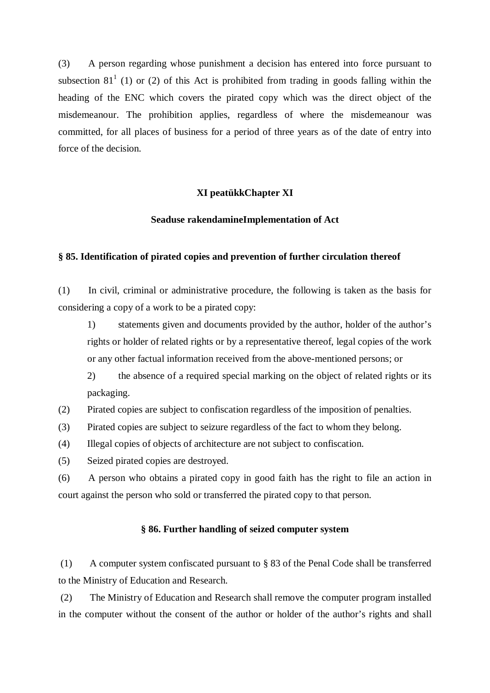(3) A person regarding whose punishment a decision has entered into force pursuant to subsection 81<sup>1</sup> (1) or (2) of this Act is prohibited from trading in goods falling within the heading of the ENC which covers the pirated copy which was the direct object of the misdemeanour. The prohibition applies, regardless of where the misdemeanour was committed, for all places of business for a period of three years as of the date of entry into force of the decision.

## **XI peatükkChapter XI**

### **Seaduse rakendamineImplementation of Act**

### **§ 85. Identification of pirated copies and prevention of further circulation thereof**

(1) In civil, criminal or administrative procedure, the following is taken as the basis for considering a copy of a work to be a pirated copy:

1) statements given and documents provided by the author, holder of the author's rights or holder of related rights or by a representative thereof, legal copies of the work or any other factual information received from the above-mentioned persons; or

2) the absence of a required special marking on the object of related rights or its packaging.

(2) Pirated copies are subject to confiscation regardless of the imposition of penalties.

(3) Pirated copies are subject to seizure regardless of the fact to whom they belong.

(4) Illegal copies of objects of architecture are not subject to confiscation.

(5) Seized pirated copies are destroyed.

(6) A person who obtains a pirated copy in good faith has the right to file an action in court against the person who sold or transferred the pirated copy to that person.

## **§ 86. Further handling of seized computer system**

(1) A computer system confiscated pursuant to § 83 of the Penal Code shall be transferred to the Ministry of Education and Research.

(2) The Ministry of Education and Research shall remove the computer program installed in the computer without the consent of the author or holder of the author's rights and shall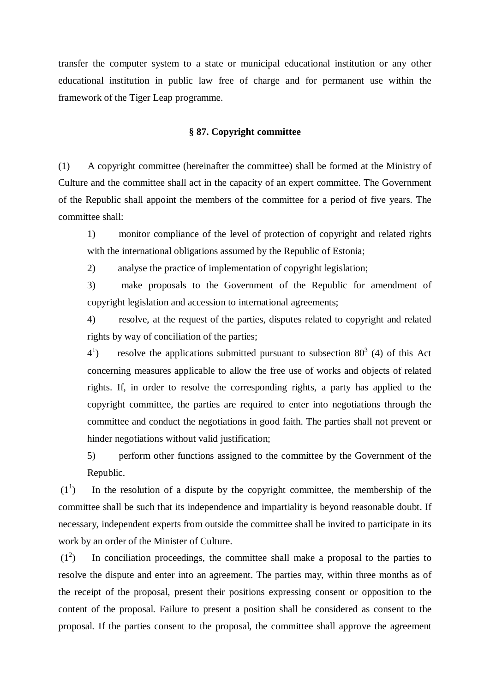transfer the computer system to a state or municipal educational institution or any other educational institution in public law free of charge and for permanent use within the framework of the Tiger Leap programme.

### **§ 87. Copyright committee**

(1) A copyright committee (hereinafter the committee) shall be formed at the Ministry of Culture and the committee shall act in the capacity of an expert committee. The Government of the Republic shall appoint the members of the committee for a period of five years. The committee shall:

1) monitor compliance of the level of protection of copyright and related rights with the international obligations assumed by the Republic of Estonia;

2) analyse the practice of implementation of copyright legislation;

3) make proposals to the Government of the Republic for amendment of copyright legislation and accession to international agreements;

4) resolve, at the request of the parties, disputes related to copyright and related rights by way of conciliation of the parties;

 $4^{1}$ ) resolve the applications submitted pursuant to subsection  $80^3$  (4) of this Act concerning measures applicable to allow the free use of works and objects of related rights. If, in order to resolve the corresponding rights, a party has applied to the copyright committee, the parties are required to enter into negotiations through the committee and conduct the negotiations in good faith. The parties shall not prevent or hinder negotiations without valid justification;

5) perform other functions assigned to the committee by the Government of the Republic.

 $\left(1\right]$ ) In the resolution of a dispute by the copyright committee, the membership of the committee shall be such that its independence and impartiality is beyond reasonable doubt. If necessary, independent experts from outside the committee shall be invited to participate in its work by an order of the Minister of Culture.

 $(1^2)$ ) In conciliation proceedings, the committee shall make a proposal to the parties to resolve the dispute and enter into an agreement. The parties may, within three months as of the receipt of the proposal, present their positions expressing consent or opposition to the content of the proposal. Failure to present a position shall be considered as consent to the proposal. If the parties consent to the proposal, the committee shall approve the agreement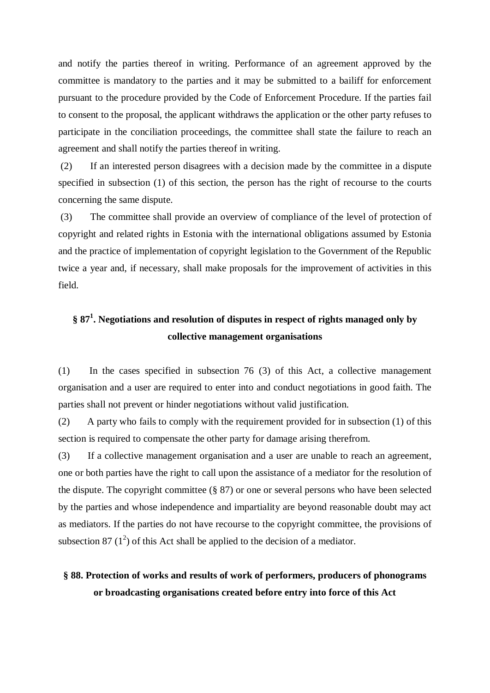and notify the parties thereof in writing. Performance of an agreement approved by the committee is mandatory to the parties and it may be submitted to a bailiff for enforcement pursuant to the procedure provided by the Code of Enforcement Procedure. If the parties fail to consent to the proposal, the applicant withdraws the application or the other party refuses to participate in the conciliation proceedings, the committee shall state the failure to reach an agreement and shall notify the parties thereof in writing.

(2) If an interested person disagrees with a decision made by the committee in a dispute specified in subsection (1) of this section, the person has the right of recourse to the courts concerning the same dispute.

(3) The committee shall provide an overview of compliance of the level of protection of copyright and related rights in Estonia with the international obligations assumed by Estonia and the practice of implementation of copyright legislation to the Government of the Republic twice a year and, if necessary, shall make proposals for the improvement of activities in this field.

# **§ 87 1 . Negotiations and resolution of disputes in respect of rights managed only by collective management organisations**

(1) In the cases specified in subsection 76 (3) of this Act, a collective management organisation and a user are required to enter into and conduct negotiations in good faith. The parties shall not prevent or hinder negotiations without valid justification.

(2) A party who fails to comply with the requirement provided for in subsection (1) of this section is required to compensate the other party for damage arising therefrom.

(3) If a collective management organisation and a user are unable to reach an agreement, one or both parties have the right to call upon the assistance of a mediator for the resolution of the dispute. The copyright committee (§ 87) or one or several persons who have been selected by the parties and whose independence and impartiality are beyond reasonable doubt may act as mediators. If the parties do not have recourse to the copyright committee, the provisions of subsection 87  $(1^2)$  of this Act shall be applied to the decision of a mediator.

# **§ 88. Protection of works and results of work of performers, producers of phonograms or broadcasting organisations created before entry into force of this Act**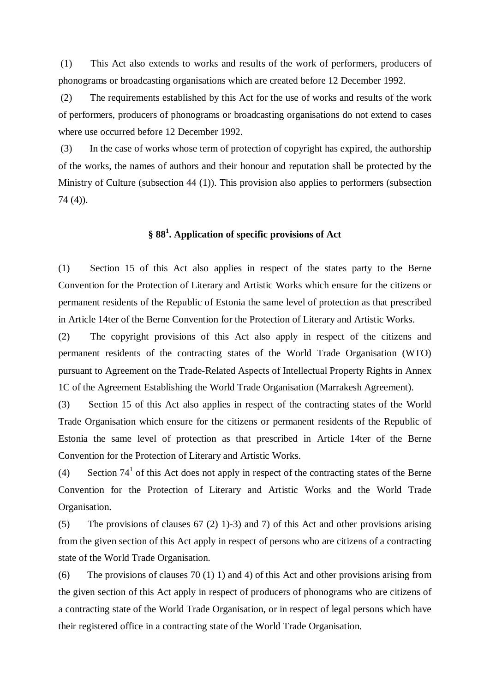(1) This Act also extends to works and results of the work of performers, producers of phonograms or broadcasting organisations which are created before 12 December 1992.

(2) The requirements established by this Act for the use of works and results of the work of performers, producers of phonograms or broadcasting organisations do not extend to cases where use occurred before 12 December 1992.

(3) In the case of works whose term of protection of copyright has expired, the authorship of the works, the names of authors and their honour and reputation shall be protected by the Ministry of Culture (subsection 44 (1)). This provision also applies to performers (subsection 74 (4)).

# **§ 88 1 . Application of specific provisions of Act**

(1) Section 15 of this Act also applies in respect of the states party to the Berne Convention for the Protection of Literary and Artistic Works which ensure for the citizens or permanent residents of the Republic of Estonia the same level of protection as that prescribed in Article 14ter of the Berne Convention for the Protection of Literary and Artistic Works.

(2) The copyright provisions of this Act also apply in respect of the citizens and permanent residents of the contracting states of the World Trade Organisation (WTO) pursuant to Agreement on the Trade-Related Aspects of Intellectual Property Rights in Annex 1C of the Agreement Establishing the World Trade Organisation (Marrakesh Agreement).

(3) Section 15 of this Act also applies in respect of the contracting states of the World Trade Organisation which ensure for the citizens or permanent residents of the Republic of Estonia the same level of protection as that prescribed in Article 14ter of the Berne Convention for the Protection of Literary and Artistic Works.

(4) Section  $74<sup>1</sup>$  of this Act does not apply in respect of the contracting states of the Berne Convention for the Protection of Literary and Artistic Works and the World Trade Organisation.

(5) The provisions of clauses 67 (2) 1)-3) and 7) of this Act and other provisions arising from the given section of this Act apply in respect of persons who are citizens of a contracting state of the World Trade Organisation.

(6) The provisions of clauses 70 (1) 1) and 4) of this Act and other provisions arising from the given section of this Act apply in respect of producers of phonograms who are citizens of a contracting state of the World Trade Organisation, or in respect of legal persons which have their registered office in a contracting state of the World Trade Organisation.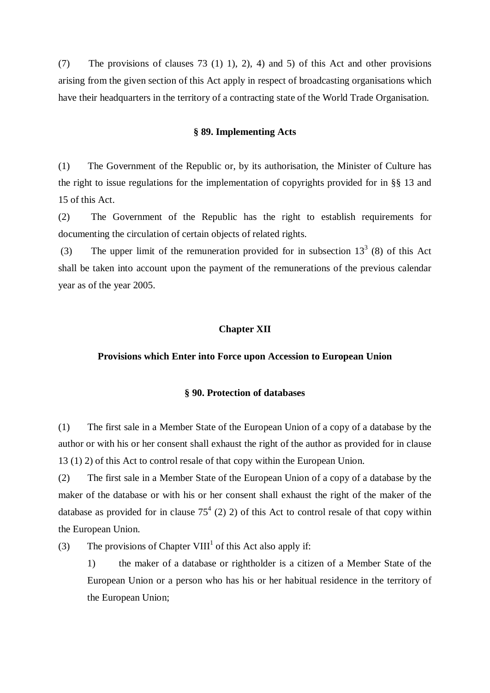(7) The provisions of clauses 73 (1) 1), 2), 4) and 5) of this Act and other provisions arising from the given section of this Act apply in respect of broadcasting organisations which have their headquarters in the territory of a contracting state of the World Trade Organisation.

### **§ 89. Implementing Acts**

(1) The Government of the Republic or, by its authorisation, the Minister of Culture has the right to issue regulations for the implementation of copyrights provided for in §§ 13 and 15 of this Act.

(2) The Government of the Republic has the right to establish requirements for documenting the circulation of certain objects of related rights.

(3) The upper limit of the remuneration provided for in subsection  $13<sup>3</sup>$  (8) of this Act shall be taken into account upon the payment of the remunerations of the previous calendar year as of the year 2005.

### **Chapter XII**

### **Provisions which Enter into Force upon Accession to European Union**

### **§ 90. Protection of databases**

(1) The first sale in a Member State of the European Union of a copy of a database by the author or with his or her consent shall exhaust the right of the author as provided for in clause 13 (1) 2) of this Act to control resale of that copy within the European Union.

(2) The first sale in a Member State of the European Union of a copy of a database by the maker of the database or with his or her consent shall exhaust the right of the maker of the database as provided for in clause  $75<sup>4</sup>$  (2) 2) of this Act to control resale of that copy within the European Union.

(3) The provisions of Chapter VIII<sup>1</sup> of this Act also apply if:

1) the maker of a database or rightholder is a citizen of a Member State of the European Union or a person who has his or her habitual residence in the territory of the European Union;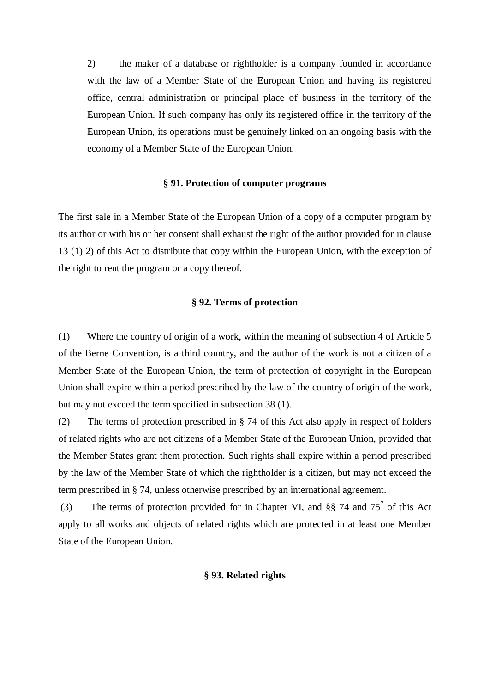2) the maker of a database or rightholder is a company founded in accordance with the law of a Member State of the European Union and having its registered office, central administration or principal place of business in the territory of the European Union. If such company has only its registered office in the territory of the European Union, its operations must be genuinely linked on an ongoing basis with the economy of a Member State of the European Union.

## **§ 91. Protection of computer programs**

The first sale in a Member State of the European Union of a copy of a computer program by its author or with his or her consent shall exhaust the right of the author provided for in clause 13 (1) 2) of this Act to distribute that copy within the European Union, with the exception of the right to rent the program or a copy thereof.

### **§ 92. Terms of protection**

(1) Where the country of origin of a work, within the meaning of subsection 4 of Article 5 of the Berne Convention, is a third country, and the author of the work is not a citizen of a Member State of the European Union, the term of protection of copyright in the European Union shall expire within a period prescribed by the law of the country of origin of the work, but may not exceed the term specified in subsection 38 (1).

(2) The terms of protection prescribed in § 74 of this Act also apply in respect of holders of related rights who are not citizens of a Member State of the European Union, provided that the Member States grant them protection. Such rights shall expire within a period prescribed by the law of the Member State of which the rightholder is a citizen, but may not exceed the term prescribed in § 74, unless otherwise prescribed by an international agreement.

(3) The terms of protection provided for in Chapter VI, and  $\S$ § 74 and 75<sup>7</sup> of this Act apply to all works and objects of related rights which are protected in at least one Member State of the European Union.

### **§ 93. Related rights**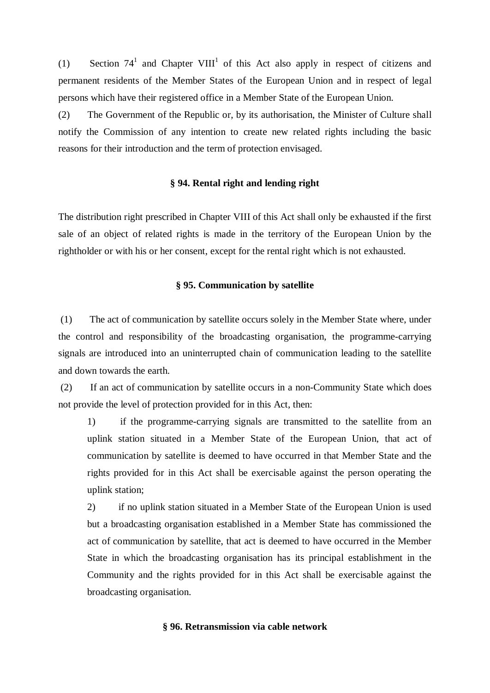(1) Section  $74^1$  and Chapter VIII<sup>1</sup> of this Act also apply in respect of citizens and permanent residents of the Member States of the European Union and in respect of legal persons which have their registered office in a Member State of the European Union.

(2) The Government of the Republic or, by its authorisation, the Minister of Culture shall notify the Commission of any intention to create new related rights including the basic reasons for their introduction and the term of protection envisaged.

## **§ 94. Rental right and lending right**

The distribution right prescribed in Chapter VIII of this Act shall only be exhausted if the first sale of an object of related rights is made in the territory of the European Union by the rightholder or with his or her consent, except for the rental right which is not exhausted.

### **§ 95. Communication by satellite**

(1) The act of communication by satellite occurs solely in the Member State where, under the control and responsibility of the broadcasting organisation, the programme-carrying signals are introduced into an uninterrupted chain of communication leading to the satellite and down towards the earth.

(2) If an act of communication by satellite occurs in a non-Community State which does not provide the level of protection provided for in this Act, then:

1) if the programme-carrying signals are transmitted to the satellite from an uplink station situated in a Member State of the European Union, that act of communication by satellite is deemed to have occurred in that Member State and the rights provided for in this Act shall be exercisable against the person operating the uplink station;

2) if no uplink station situated in a Member State of the European Union is used but a broadcasting organisation established in a Member State has commissioned the act of communication by satellite, that act is deemed to have occurred in the Member State in which the broadcasting organisation has its principal establishment in the Community and the rights provided for in this Act shall be exercisable against the broadcasting organisation.

### **§ 96. Retransmission via cable network**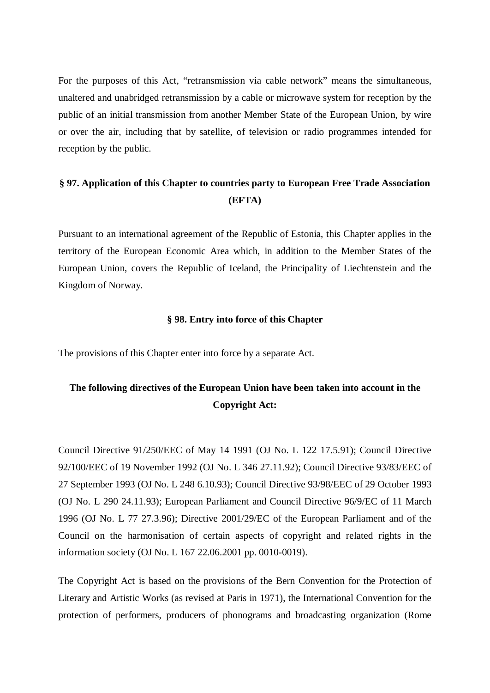For the purposes of this Act, "retransmission via cable network" means the simultaneous, unaltered and unabridged retransmission by a cable or microwave system for reception by the public of an initial transmission from another Member State of the European Union, by wire or over the air, including that by satellite, of television or radio programmes intended for reception by the public.

# **§ 97. Application of this Chapter to countries party to European Free Trade Association (EFTA)**

Pursuant to an international agreement of the Republic of Estonia, this Chapter applies in the territory of the European Economic Area which, in addition to the Member States of the European Union, covers the Republic of Iceland, the Principality of Liechtenstein and the Kingdom of Norway.

### **§ 98. Entry into force of this Chapter**

The provisions of this Chapter enter into force by a separate Act.

# **The following directives of the European Union have been taken into account in the Copyright Act:**

Council Directive 91/250/EEC of May 14 1991 (OJ No. L 122 17.5.91); Council Directive 92/100/EEC of 19 November 1992 (OJ No. L 346 27.11.92); Council Directive 93/83/EEC of 27 September 1993 (OJ No. L 248 6.10.93); Council Directive 93/98/EEC of 29 October 1993 (OJ No. L 290 24.11.93); European Parliament and Council Directive 96/9/EC of 11 March 1996 (OJ No. L 77 27.3.96); Directive 2001/29/EC of the European Parliament and of the Council on the harmonisation of certain aspects of copyright and related rights in the information society (OJ No. L 167 22.06.2001 pp. 0010-0019).

The Copyright Act is based on the provisions of the Bern Convention for the Protection of Literary and Artistic Works (as revised at Paris in 1971), the International Convention for the protection of performers, producers of phonograms and broadcasting organization (Rome